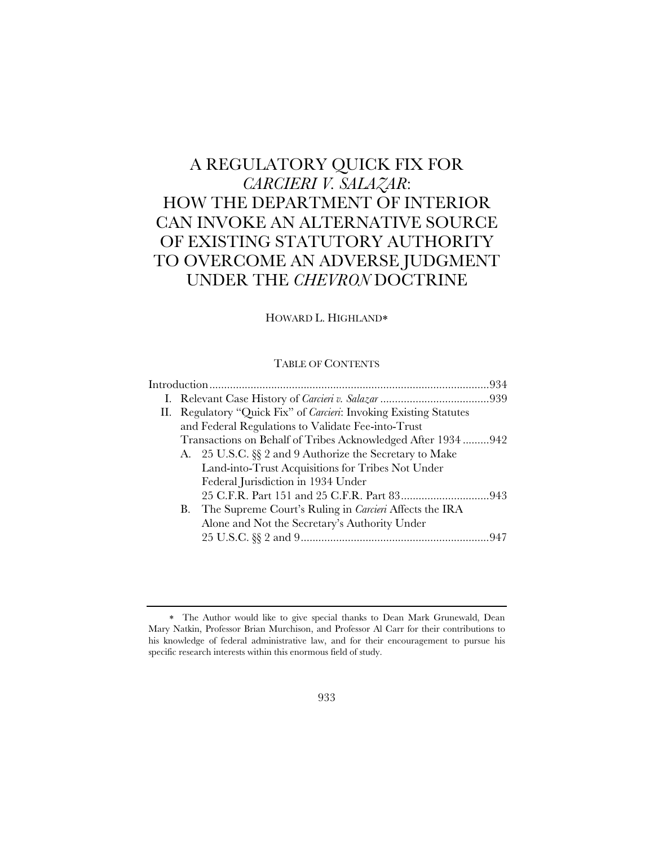# A REGULATORY QUICK FIX FOR *CARCIERI V. SALAZAR*: HOW THE DEPARTMENT OF INTERIOR CAN INVOKE AN ALTERNATIVE SOURCE OF EXISTING STATUTORY AUTHORITY TO OVERCOME AN ADVERSE JUDGMENT UNDER THE *CHEVRON* DOCTRINE

### HOWARD L. HIGHLAND

### TABLE OF CONTENTS

|  |    | II. Regulatory "Quick Fix" of Carcieri: Invoking Existing Statutes |  |
|--|----|--------------------------------------------------------------------|--|
|  |    | and Federal Regulations to Validate Fee-into-Trust                 |  |
|  |    | Transactions on Behalf of Tribes Acknowledged After 1934942        |  |
|  |    | A. 25 U.S.C. §§ 2 and 9 Authorize the Secretary to Make            |  |
|  |    | Land-into-Trust Acquisitions for Tribes Not Under                  |  |
|  |    | Federal Jurisdiction in 1934 Under                                 |  |
|  |    |                                                                    |  |
|  | В. | The Supreme Court's Ruling in <i>Carcieri</i> Affects the IRA      |  |
|  |    | Alone and Not the Secretary's Authority Under                      |  |
|  |    |                                                                    |  |

The Author would like to give special thanks to Dean Mark Grunewald, Dean Mary Natkin, Professor Brian Murchison, and Professor Al Carr for their contributions to his knowledge of federal administrative law, and for their encouragement to pursue his specific research interests within this enormous field of study.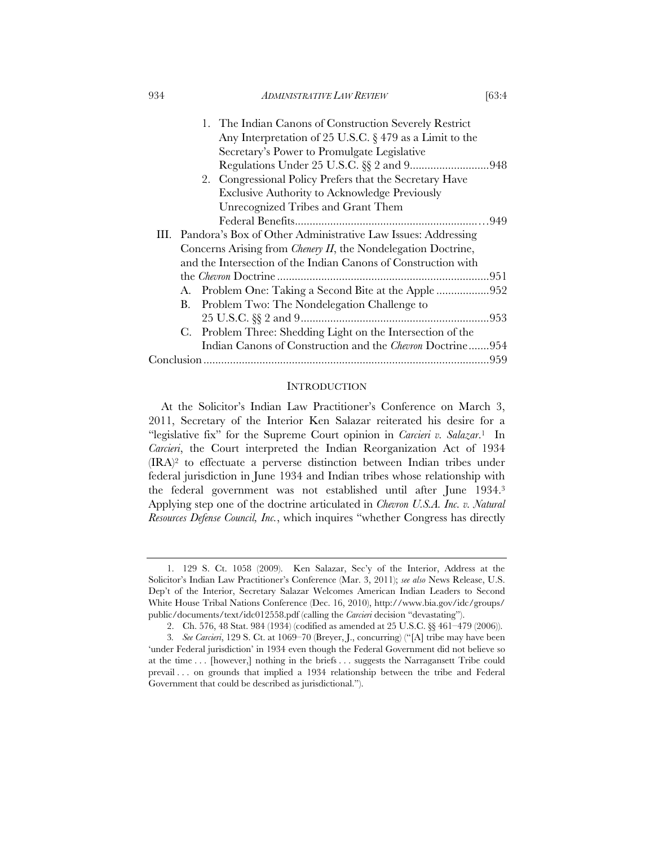| 934 | <i>ADMINISTRATIVE LAW REVIEW</i> | [63:4 |
|-----|----------------------------------|-------|
|     |                                  |       |

|  | 1. The Indian Canons of Construction Severely Restrict            |  |
|--|-------------------------------------------------------------------|--|
|  | Any Interpretation of 25 U.S.C. $\S 479$ as a Limit to the        |  |
|  | Secretary's Power to Promulgate Legislative                       |  |
|  |                                                                   |  |
|  | 2. Congressional Policy Prefers that the Secretary Have           |  |
|  | <b>Exclusive Authority to Acknowledge Previously</b>              |  |
|  | Unrecognized Tribes and Grant Them                                |  |
|  |                                                                   |  |
|  | III. Pandora's Box of Other Administrative Law Issues: Addressing |  |
|  | Concerns Arising from Chenery II, the Nondelegation Doctrine,     |  |
|  | and the Intersection of the Indian Canons of Construction with    |  |
|  |                                                                   |  |
|  |                                                                   |  |
|  | B. Problem Two: The Nondelegation Challenge to                    |  |
|  |                                                                   |  |
|  | C. Problem Three: Shedding Light on the Intersection of the       |  |
|  | Indian Canons of Construction and the <i>Chevron</i> Doctrine954  |  |
|  |                                                                   |  |
|  |                                                                   |  |

### **INTRODUCTION**

At the Solicitor's Indian Law Practitioner's Conference on March 3, 2011, Secretary of the Interior Ken Salazar reiterated his desire for a "legislative fix" for the Supreme Court opinion in *Carcieri v. Salazar*.1 In *Carcieri*, the Court interpreted the Indian Reorganization Act of 1934 (IRA)2 to effectuate a perverse distinction between Indian tribes under federal jurisdiction in June 1934 and Indian tribes whose relationship with the federal government was not established until after June 1934.3 Applying step one of the doctrine articulated in *Chevron U.S.A. Inc. v. Natural Resources Defense Council, Inc.*, which inquires "whether Congress has directly

<sup>1. 129</sup> S. Ct. 1058 (2009). Ken Salazar, Sec'y of the Interior, Address at the Solicitor's Indian Law Practitioner's Conference (Mar. 3, 2011); *see also* News Release, U.S. Dep't of the Interior, Secretary Salazar Welcomes American Indian Leaders to Second White House Tribal Nations Conference (Dec. 16, 2010), http://www.bia.gov/idc/groups/ public/documents/text/idc012558.pdf (calling the *Carcieri* decision "devastating").

<sup>2.</sup> Ch. 576, 48 Stat. 984 (1934) (codified as amended at 25 U.S.C. §§ 461–479 (2006)).

<sup>3</sup>*. See Carcieri*, 129 S. Ct. at 1069–70 (Breyer, J., concurring) ("[A] tribe may have been 'under Federal jurisdiction' in 1934 even though the Federal Government did not believe so at the time . . . [however,] nothing in the briefs . . . suggests the Narragansett Tribe could prevail . . . on grounds that implied a 1934 relationship between the tribe and Federal Government that could be described as jurisdictional.").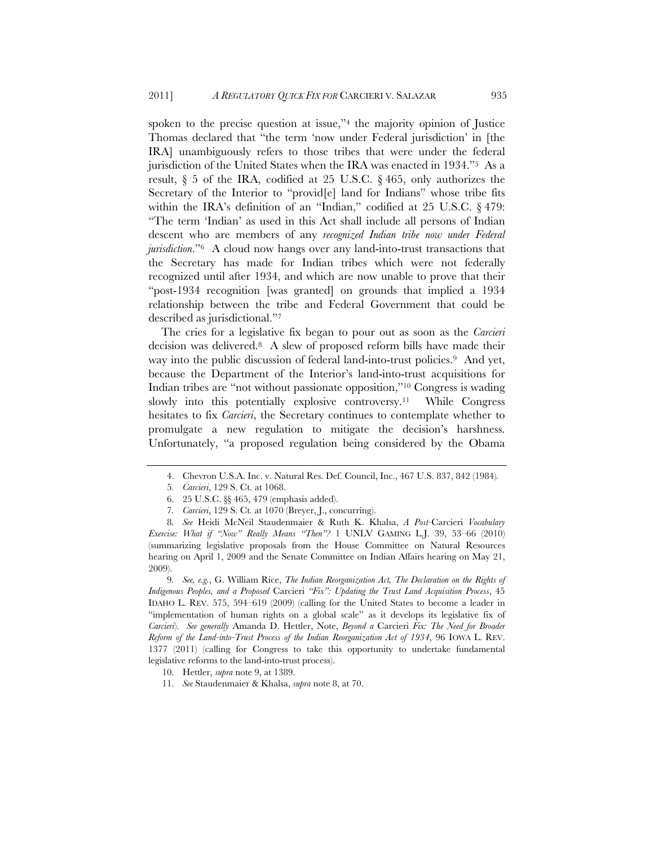spoken to the precise question at issue,"4 the majority opinion of Justice Thomas declared that "the term 'now under Federal jurisdiction' in [the IRA] unambiguously refers to those tribes that were under the federal jurisdiction of the United States when the IRA was enacted in 1934."5 As a result, § 5 of the IRA, codified at 25 U.S.C. § 465, only authorizes the Secretary of the Interior to "provid[e] land for Indians" whose tribe fits within the IRA's definition of an "Indian," codified at 25 U.S.C. § 479: "The term 'Indian' as used in this Act shall include all persons of Indian descent who are members of any *recognized Indian tribe now under Federal jurisdiction*."6 A cloud now hangs over any land-into-trust transactions that the Secretary has made for Indian tribes which were not federally recognized until after 1934, and which are now unable to prove that their "post-1934 recognition [was granted] on grounds that implied a 1934 relationship between the tribe and Federal Government that could be described as jurisdictional."7

The cries for a legislative fix began to pour out as soon as the *Carcieri*  decision was delivered.8 A slew of proposed reform bills have made their way into the public discussion of federal land-into-trust policies.9 And yet, because the Department of the Interior's land-into-trust acquisitions for Indian tribes are "not without passionate opposition,"10 Congress is wading slowly into this potentially explosive controversy.11 While Congress hesitates to fix *Carcieri*, the Secretary continues to contemplate whether to promulgate a new regulation to mitigate the decision's harshness. Unfortunately, "a proposed regulation being considered by the Obama

8*. See* Heidi McNeil Staudenmaier & Ruth K. Khalsa, *A Post-*Carcieri *Vocabulary Exercise: What if "Now" Really Means "Then"?* 1 UNLV GAMING L.J. 39, 53–66 (2010) (summarizing legislative proposals from the House Committee on Natural Resources hearing on April 1, 2009 and the Senate Committee on Indian Affairs hearing on May 21, 2009).

9*. See, e.g.*, G. William Rice, *The Indian Reorganization Act, The Declaration on the Rights of Indigenous Peoples, and a Proposed* Carcieri *"Fix": Updating the Trust Land Acquisition Process*, 45 IDAHO L. REV. 575, 594–619 (2009) (calling for the United States to become a leader in "implementation of human rights on a global scale" as it develops its legislative fix of *Carcieri*). *See generally* Amanda D. Hettler, Note, *Beyond a* Carcieri *Fix: The Need for Broader Reform of the Land-into-Trust Process of the Indian Reorganization Act of 1934*, 96 IOWA L. REV. 1377 (2011) (calling for Congress to take this opportunity to undertake fundamental legislative reforms to the land-into-trust process).

10. Hettler, *supra* note 9, at 1389.

11. *See* Staudenmaier & Khalsa, *supra* note 8, at 70.

<sup>4.</sup> Chevron U.S.A. Inc. v. Natural Res. Def. Council, Inc., 467 U.S. 837, 842 (1984)*.*

<sup>5</sup>*. Carcieri*, 129 S. Ct. at 1068.

<sup>6. 25</sup> U.S.C. §§ 465, 479 (emphasis added).

<sup>7</sup>*. Carcieri*, 129 S. Ct*.* at 1070 (Breyer, J., concurring).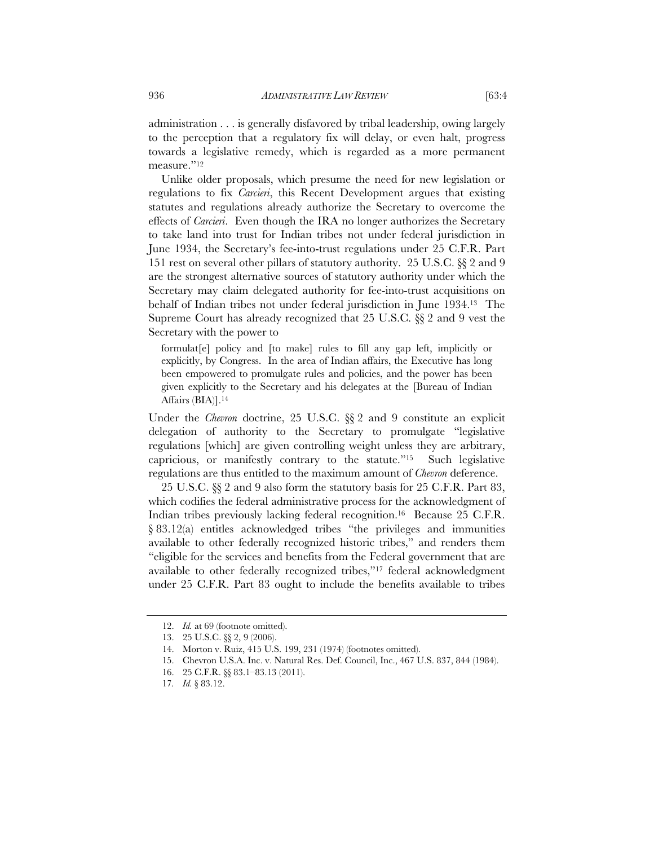administration . . . is generally disfavored by tribal leadership, owing largely to the perception that a regulatory fix will delay, or even halt, progress towards a legislative remedy, which is regarded as a more permanent measure."<sup>12</sup>

Unlike older proposals, which presume the need for new legislation or regulations to fix *Carcieri*, this Recent Development argues that existing statutes and regulations already authorize the Secretary to overcome the effects of *Carcieri*. Even though the IRA no longer authorizes the Secretary to take land into trust for Indian tribes not under federal jurisdiction in June 1934, the Secretary's fee-into-trust regulations under 25 C.F.R. Part 151 rest on several other pillars of statutory authority. 25 U.S.C. §§ 2 and 9 are the strongest alternative sources of statutory authority under which the Secretary may claim delegated authority for fee-into-trust acquisitions on behalf of Indian tribes not under federal jurisdiction in June 1934.13 The Supreme Court has already recognized that 25 U.S.C. §§ 2 and 9 vest the Secretary with the power to

formulat[e] policy and [to make] rules to fill any gap left, implicitly or explicitly, by Congress. In the area of Indian affairs, the Executive has long been empowered to promulgate rules and policies, and the power has been given explicitly to the Secretary and his delegates at the [Bureau of Indian Affairs (BIA)].<sup>14</sup>

Under the *Chevron* doctrine, 25 U.S.C. §§ 2 and 9 constitute an explicit delegation of authority to the Secretary to promulgate "legislative regulations [which] are given controlling weight unless they are arbitrary, capricious, or manifestly contrary to the statute."15 Such legislative regulations are thus entitled to the maximum amount of *Chevron* deference.

25 U.S.C. §§ 2 and 9 also form the statutory basis for 25 C.F.R. Part 83, which codifies the federal administrative process for the acknowledgment of Indian tribes previously lacking federal recognition.<sup>16</sup> Because 25 C.F.R. § 83.12(a) entitles acknowledged tribes "the privileges and immunities available to other federally recognized historic tribes," and renders them "eligible for the services and benefits from the Federal government that are available to other federally recognized tribes,"17 federal acknowledgment under 25 C.F.R. Part 83 ought to include the benefits available to tribes

<sup>12.</sup> *Id.* at 69 (footnote omitted).

<sup>13.</sup> 25 U.S.C. §§ 2, 9 (2006).

<sup>14.</sup> Morton v. Ruiz, 415 U.S. 199, 231 (1974) (footnotes omitted).

<sup>15.</sup> Chevron U.S.A. Inc. v. Natural Res. Def. Council, Inc., 467 U.S. 837, 844 (1984).

<sup>16. 25</sup> C.F.R. §§ 83.1–83.13 (2011).

<sup>17</sup>*. Id.* § 83.12.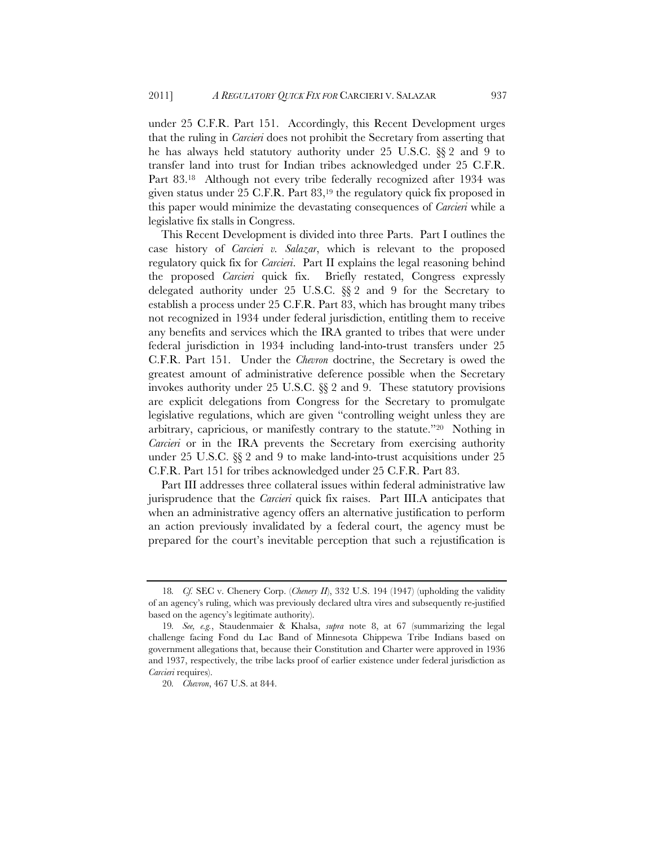under 25 C.F.R. Part 151. Accordingly, this Recent Development urges that the ruling in *Carcieri* does not prohibit the Secretary from asserting that he has always held statutory authority under 25 U.S.C. §§ 2 and 9 to transfer land into trust for Indian tribes acknowledged under 25 C.F.R. Part 83.18 Although not every tribe federally recognized after 1934 was given status under 25 C.F.R. Part 83,19 the regulatory quick fix proposed in this paper would minimize the devastating consequences of *Carcieri* while a legislative fix stalls in Congress.

This Recent Development is divided into three Parts. Part I outlines the case history of *Carcieri v. Salazar*, which is relevant to the proposed regulatory quick fix for *Carcieri*. Part II explains the legal reasoning behind the proposed *Carcieri* quick fix. Briefly restated, Congress expressly delegated authority under 25 U.S.C. §§ 2 and 9 for the Secretary to establish a process under 25 C.F.R. Part 83, which has brought many tribes not recognized in 1934 under federal jurisdiction, entitling them to receive any benefits and services which the IRA granted to tribes that were under federal jurisdiction in 1934 including land-into-trust transfers under 25 C.F.R. Part 151. Under the *Chevron* doctrine, the Secretary is owed the greatest amount of administrative deference possible when the Secretary invokes authority under 25 U.S.C. §§ 2 and 9. These statutory provisions are explicit delegations from Congress for the Secretary to promulgate legislative regulations, which are given "controlling weight unless they are arbitrary, capricious, or manifestly contrary to the statute."20 Nothing in *Carcieri* or in the IRA prevents the Secretary from exercising authority under 25 U.S.C. §§ 2 and 9 to make land-into-trust acquisitions under 25 C.F.R. Part 151 for tribes acknowledged under 25 C.F.R. Part 83.

Part III addresses three collateral issues within federal administrative law jurisprudence that the *Carcieri* quick fix raises. Part III.A anticipates that when an administrative agency offers an alternative justification to perform an action previously invalidated by a federal court, the agency must be prepared for the court's inevitable perception that such a rejustification is

<sup>18</sup>*. Cf.* SEC v. Chenery Corp. (*Chenery II*), 332 U.S. 194 (1947) (upholding the validity of an agency's ruling, which was previously declared ultra vires and subsequently re-justified based on the agency's legitimate authority).

<sup>19</sup>*. See, e.g.*, Staudenmaier & Khalsa, *supra* note 8, at 67 (summarizing the legal challenge facing Fond du Lac Band of Minnesota Chippewa Tribe Indians based on government allegations that, because their Constitution and Charter were approved in 1936 and 1937, respectively, the tribe lacks proof of earlier existence under federal jurisdiction as *Carcieri* requires).

<sup>20</sup>*. Chevron*, 467 U.S. at 844.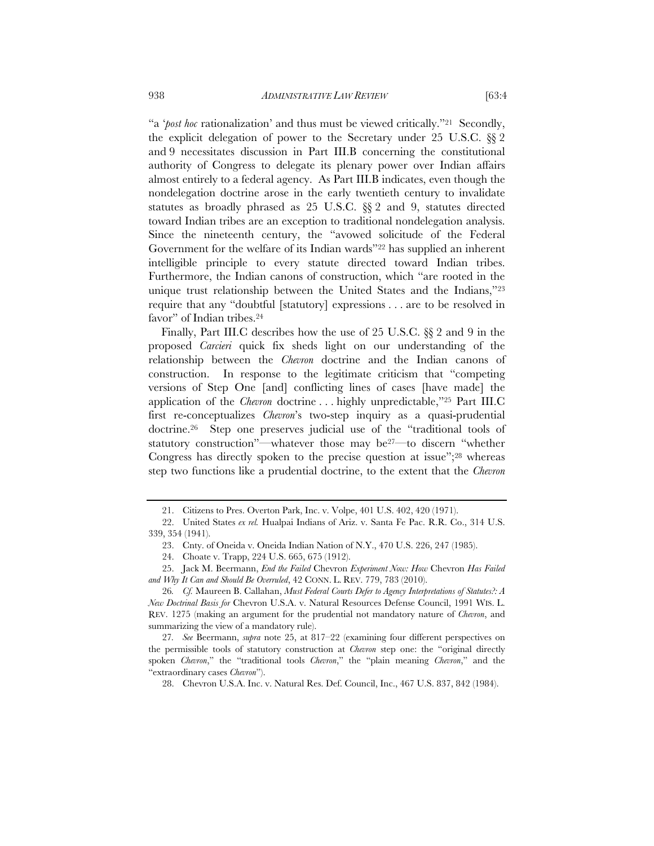"a '*post hoc* rationalization' and thus must be viewed critically."21 Secondly, the explicit delegation of power to the Secretary under 25 U.S.C. §§ 2 and 9 necessitates discussion in Part III.B concerning the constitutional authority of Congress to delegate its plenary power over Indian affairs almost entirely to a federal agency. As Part III.B indicates, even though the nondelegation doctrine arose in the early twentieth century to invalidate statutes as broadly phrased as 25 U.S.C. §§ 2 and 9, statutes directed toward Indian tribes are an exception to traditional nondelegation analysis. Since the nineteenth century, the "avowed solicitude of the Federal Government for the welfare of its Indian wards"22 has supplied an inherent intelligible principle to every statute directed toward Indian tribes. Furthermore, the Indian canons of construction, which "are rooted in the unique trust relationship between the United States and the Indians,"23 require that any "doubtful [statutory] expressions . . . are to be resolved in favor" of Indian tribes.24

Finally, Part III.C describes how the use of 25 U.S.C. §§ 2 and 9 in the proposed *Carcieri* quick fix sheds light on our understanding of the relationship between the *Chevron* doctrine and the Indian canons of construction. In response to the legitimate criticism that "competing versions of Step One [and] conflicting lines of cases [have made] the application of the *Chevron* doctrine . . . highly unpredictable,"25 Part III.C first re-conceptualizes *Chevron*'s two-step inquiry as a quasi-prudential doctrine.26 Step one preserves judicial use of the "traditional tools of statutory construction"—whatever those may be27—to discern "whether Congress has directly spoken to the precise question at issue";<sup>28</sup> whereas step two functions like a prudential doctrine, to the extent that the *Chevron* 

<sup>21.</sup> Citizens to Pres. Overton Park, Inc. v. Volpe, 401 U.S. 402, 420 (1971).

<sup>22.</sup> United States *ex rel.* Hualpai Indians of Ariz. v. Santa Fe Pac. R.R. Co., 314 U.S. 339, 354 (1941).

<sup>23.</sup> Cnty. of Oneida v. Oneida Indian Nation of N.Y., 470 U.S. 226, 247 (1985).

<sup>24.</sup> Choate v. Trapp, 224 U.S. 665, 675 (1912).

<sup>25.</sup> Jack M. Beermann, *End the Failed* Chevron *Experiment Now: How* Chevron *Has Failed and Why It Can and Should Be Overruled*, 42 CONN. L. REV. 779, 783 (2010).

<sup>26</sup>*. Cf.* Maureen B. Callahan, *Must Federal Courts Defer to Agency Interpretations of Statutes?: A New Doctrinal Basis for* Chevron U.S.A. v. Natural Resources Defense Council, 1991 WIS. L. REV. 1275 (making an argument for the prudential not mandatory nature of *Chevron*, and summarizing the view of a mandatory rule).

<sup>27</sup>*. See* Beermann, *supra* note 25, at 817–22 (examining four different perspectives on the permissible tools of statutory construction at *Chevron* step one: the "original directly spoken *Chevron*," the "traditional tools *Chevron*," the "plain meaning *Chevron*," and the "extraordinary cases *Chevron*").

<sup>28.</sup> Chevron U.S.A. Inc. v. Natural Res. Def. Council, Inc., 467 U.S. 837, 842 (1984).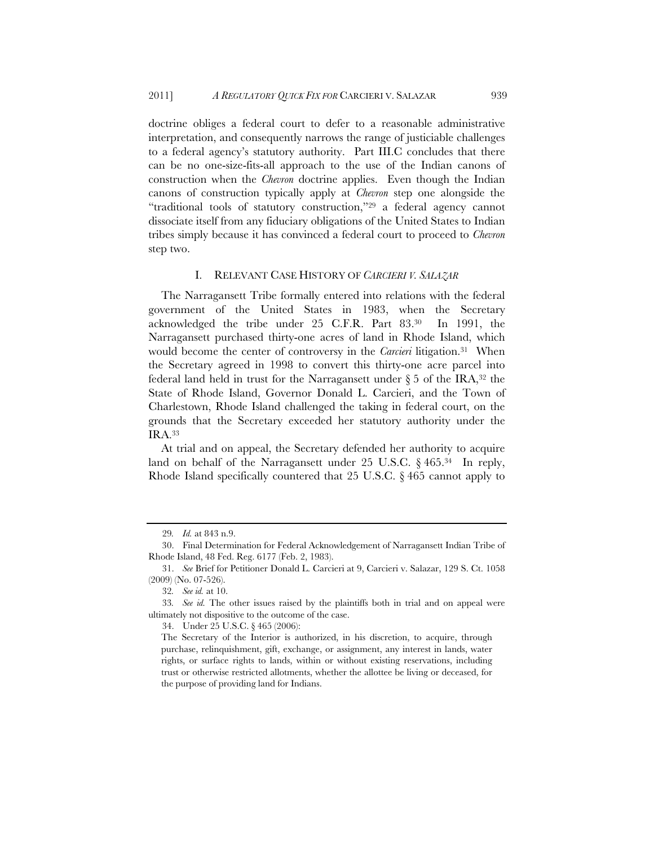doctrine obliges a federal court to defer to a reasonable administrative interpretation, and consequently narrows the range of justiciable challenges to a federal agency's statutory authority. Part III.C concludes that there can be no one-size-fits-all approach to the use of the Indian canons of construction when the *Chevron* doctrine applies. Even though the Indian canons of construction typically apply at *Chevron* step one alongside the "traditional tools of statutory construction,"29 a federal agency cannot dissociate itself from any fiduciary obligations of the United States to Indian tribes simply because it has convinced a federal court to proceed to *Chevron*  step two.

#### I. RELEVANT CASE HISTORY OF *CARCIERI V. SALAZAR*

The Narragansett Tribe formally entered into relations with the federal government of the United States in 1983, when the Secretary acknowledged the tribe under 25 C.F.R. Part 83.30 In 1991, the Narragansett purchased thirty-one acres of land in Rhode Island, which would become the center of controversy in the *Carcieri* litigation.31 When the Secretary agreed in 1998 to convert this thirty-one acre parcel into federal land held in trust for the Narragansett under  $\S 5$  of the IRA,<sup>32</sup> the State of Rhode Island, Governor Donald L. Carcieri, and the Town of Charlestown, Rhode Island challenged the taking in federal court, on the grounds that the Secretary exceeded her statutory authority under the IRA.33

At trial and on appeal, the Secretary defended her authority to acquire land on behalf of the Narragansett under 25 U.S.C. § 465.34 In reply, Rhode Island specifically countered that 25 U.S.C. § 465 cannot apply to

<sup>29</sup>*. Id.* at 843 n.9.

<sup>30.</sup> Final Determination for Federal Acknowledgement of Narragansett Indian Tribe of Rhode Island, 48 Fed. Reg. 6177 (Feb. 2, 1983).

<sup>31.</sup> *See* Brief for Petitioner Donald L. Carcieri at 9, Carcieri v. Salazar, 129 S. Ct. 1058 (2009) (No. 07-526).

<sup>32</sup>*. See id.* at 10.

<sup>33</sup>*. See id.* The other issues raised by the plaintiffs both in trial and on appeal were ultimately not dispositive to the outcome of the case.

<sup>34.</sup> Under 25 U.S.C. § 465 (2006):

The Secretary of the Interior is authorized, in his discretion, to acquire, through purchase, relinquishment, gift, exchange, or assignment, any interest in lands, water rights, or surface rights to lands, within or without existing reservations, including trust or otherwise restricted allotments, whether the allottee be living or deceased, for the purpose of providing land for Indians.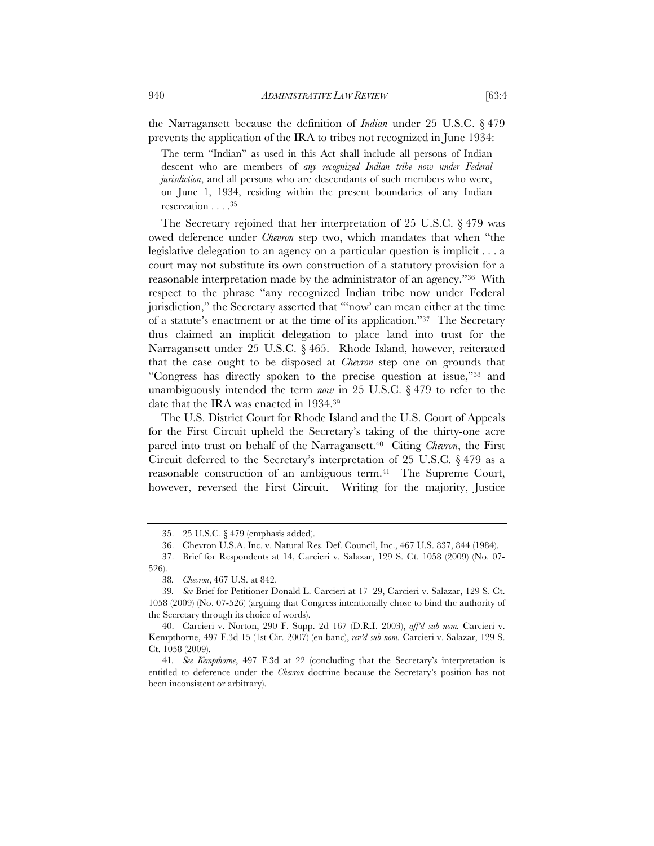the Narragansett because the definition of *Indian* under 25 U.S.C. § 479 prevents the application of the IRA to tribes not recognized in June 1934:

The term "Indian" as used in this Act shall include all persons of Indian descent who are members of *any recognized Indian tribe now under Federal jurisdiction*, and all persons who are descendants of such members who were, on June 1, 1934, residing within the present boundaries of any Indian reservation . . . .35

The Secretary rejoined that her interpretation of 25 U.S.C. § 479 was owed deference under *Chevron* step two, which mandates that when "the legislative delegation to an agency on a particular question is implicit . . . a court may not substitute its own construction of a statutory provision for a reasonable interpretation made by the administrator of an agency."36 With respect to the phrase "any recognized Indian tribe now under Federal jurisdiction," the Secretary asserted that "'now' can mean either at the time of a statute's enactment or at the time of its application."37 The Secretary thus claimed an implicit delegation to place land into trust for the Narragansett under 25 U.S.C. § 465. Rhode Island, however, reiterated that the case ought to be disposed at *Chevron* step one on grounds that "Congress has directly spoken to the precise question at issue,"38 and unambiguously intended the term *now* in 25 U.S.C. § 479 to refer to the date that the IRA was enacted in 1934.39

The U.S. District Court for Rhode Island and the U.S. Court of Appeals for the First Circuit upheld the Secretary's taking of the thirty-one acre parcel into trust on behalf of the Narragansett.<sup>40</sup> Citing *Chevron*, the First Circuit deferred to the Secretary's interpretation of 25 U.S.C. § 479 as a reasonable construction of an ambiguous term.<sup>41</sup> The Supreme Court, however, reversed the First Circuit. Writing for the majority, Justice

<sup>35. 25</sup> U.S.C. § 479 (emphasis added).

<sup>36.</sup> Chevron U.S.A. Inc. v. Natural Res. Def. Council, Inc., 467 U.S. 837, 844 (1984).

<sup>37.</sup> Brief for Respondents at 14, Carcieri v. Salazar, 129 S. Ct. 1058 (2009) (No. 07-

<sup>526).</sup> 

<sup>38</sup>*. Chevron*, 467 U.S. at 842.

<sup>39</sup>*. See* Brief for Petitioner Donald L. Carcieri at 17–29, Carcieri v. Salazar, 129 S. Ct. 1058 (2009) (No. 07-526) (arguing that Congress intentionally chose to bind the authority of the Secretary through its choice of words).

<sup>40.</sup> Carcieri v. Norton, 290 F. Supp. 2d 167 (D.R.I. 2003), *aff'd sub nom.* Carcieri v. Kempthorne, 497 F.3d 15 (1st Cir*.* 2007) (en banc), *rev'd sub nom.* Carcieri v. Salazar, 129 S. Ct. 1058 (2009).

<sup>41</sup>*. See Kempthorne*, 497 F.3d at 22 (concluding that the Secretary's interpretation is entitled to deference under the *Chevron* doctrine because the Secretary's position has not been inconsistent or arbitrary).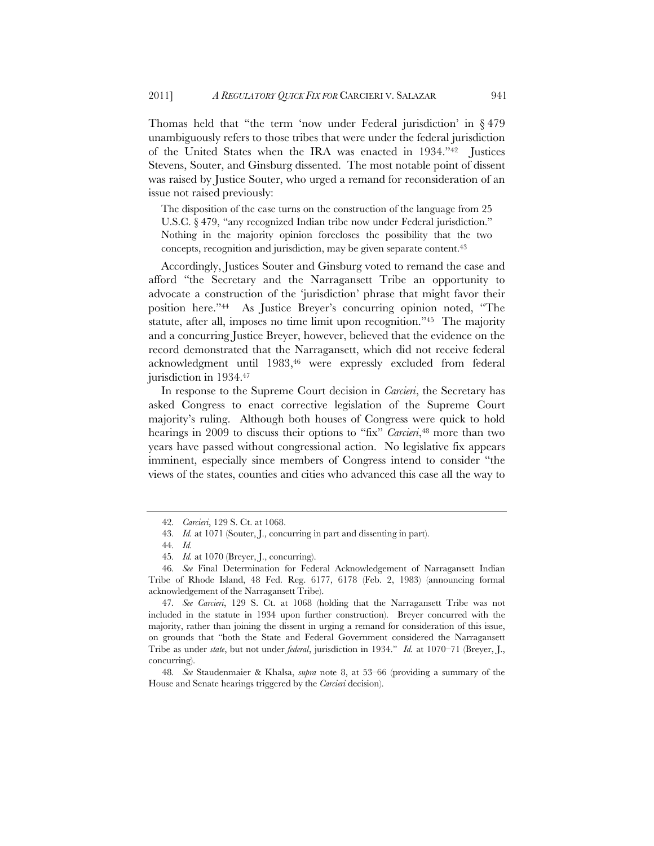Thomas held that "the term 'now under Federal jurisdiction' in § 479 unambiguously refers to those tribes that were under the federal jurisdiction of the United States when the IRA was enacted in 1934."42 Justices Stevens, Souter, and Ginsburg dissented. The most notable point of dissent was raised by Justice Souter, who urged a remand for reconsideration of an issue not raised previously:

The disposition of the case turns on the construction of the language from 25 U.S.C. § 479, "any recognized Indian tribe now under Federal jurisdiction." Nothing in the majority opinion forecloses the possibility that the two concepts, recognition and jurisdiction, may be given separate content.43

Accordingly, Justices Souter and Ginsburg voted to remand the case and afford "the Secretary and the Narragansett Tribe an opportunity to advocate a construction of the 'jurisdiction' phrase that might favor their position here."44 As Justice Breyer's concurring opinion noted, "The statute, after all, imposes no time limit upon recognition."45 The majority and a concurring Justice Breyer, however, believed that the evidence on the record demonstrated that the Narragansett, which did not receive federal acknowledgment until 1983,46 were expressly excluded from federal jurisdiction in 1934.47

In response to the Supreme Court decision in *Carcieri*, the Secretary has asked Congress to enact corrective legislation of the Supreme Court majority's ruling. Although both houses of Congress were quick to hold hearings in 2009 to discuss their options to "fix" *Carcieri*,<sup>48</sup> more than two years have passed without congressional action. No legislative fix appears imminent, especially since members of Congress intend to consider "the views of the states, counties and cities who advanced this case all the way to

48*. See* Staudenmaier & Khalsa, *supra* note 8, at 53–66 (providing a summary of the House and Senate hearings triggered by the *Carcieri* decision).

<sup>42</sup>*. Carcieri*, 129 S. Ct. at 1068.

<sup>43</sup>*. Id.* at 1071 (Souter, J., concurring in part and dissenting in part).

<sup>44</sup>*. Id.*

<sup>45</sup>*. Id.* at 1070 (Breyer, J., concurring).

<sup>46</sup>*. See* Final Determination for Federal Acknowledgement of Narragansett Indian Tribe of Rhode Island, 48 Fed. Reg. 6177, 6178 (Feb. 2, 1983) (announcing formal acknowledgement of the Narragansett Tribe).

<sup>47</sup>*. See Carcieri*, 129 S. Ct. at 1068 (holding that the Narragansett Tribe was not included in the statute in 1934 upon further construction). Breyer concurred with the majority, rather than joining the dissent in urging a remand for consideration of this issue, on grounds that "both the State and Federal Government considered the Narragansett Tribe as under *state*, but not under *federal*, jurisdiction in 1934." *Id.* at 1070–71 (Breyer, J., concurring).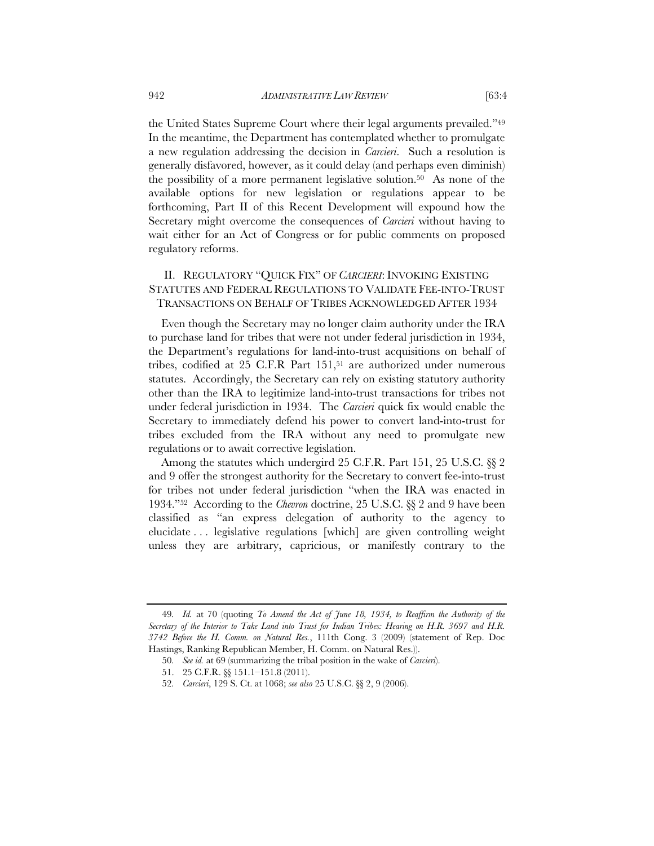the United States Supreme Court where their legal arguments prevailed."49 In the meantime, the Department has contemplated whether to promulgate a new regulation addressing the decision in *Carcieri*. Such a resolution is generally disfavored, however, as it could delay (and perhaps even diminish) the possibility of a more permanent legislative solution.50 As none of the available options for new legislation or regulations appear to be forthcoming, Part II of this Recent Development will expound how the Secretary might overcome the consequences of *Carcieri* without having to wait either for an Act of Congress or for public comments on proposed regulatory reforms.

# II. REGULATORY "QUICK FIX" OF *CARCIERI*: INVOKING EXISTING STATUTES AND FEDERAL REGULATIONS TO VALIDATE FEE-INTO-TRUST TRANSACTIONS ON BEHALF OF TRIBES ACKNOWLEDGED AFTER 1934

Even though the Secretary may no longer claim authority under the IRA to purchase land for tribes that were not under federal jurisdiction in 1934, the Department's regulations for land-into-trust acquisitions on behalf of tribes, codified at 25 C.F.R Part 151,<sup>51</sup> are authorized under numerous statutes. Accordingly, the Secretary can rely on existing statutory authority other than the IRA to legitimize land-into-trust transactions for tribes not under federal jurisdiction in 1934. The *Carcieri* quick fix would enable the Secretary to immediately defend his power to convert land-into-trust for tribes excluded from the IRA without any need to promulgate new regulations or to await corrective legislation.

Among the statutes which undergird 25 C.F.R. Part 151, 25 U.S.C. §§ 2 and 9 offer the strongest authority for the Secretary to convert fee-into-trust for tribes not under federal jurisdiction "when the IRA was enacted in 1934."52 According to the *Chevron* doctrine, 25 U.S.C. §§ 2 and 9 have been classified as "an express delegation of authority to the agency to elucidate . . . legislative regulations [which] are given controlling weight unless they are arbitrary, capricious, or manifestly contrary to the

<sup>49</sup>*. Id.* at 70 (quoting *To Amend the Act of June 18, 1934, to Reaffirm the Authority of the Secretary of the Interior to Take Land into Trust for Indian Tribes: Hearing on H.R. 3697 and H.R. 3742 Before the H. Comm. on Natural Res.*, 111th Cong. 3 (2009) (statement of Rep. Doc Hastings, Ranking Republican Member, H. Comm. on Natural Res.)).

<sup>50</sup>*. See id.* at 69 (summarizing the tribal position in the wake of *Carcieri*).

<sup>51. 25</sup> C.F.R. §§ 151.1–151.8 (2011).

<sup>52</sup>*. Carcieri*, 129 S. Ct. at 1068; *see also* 25 U.S.C. §§ 2, 9 (2006).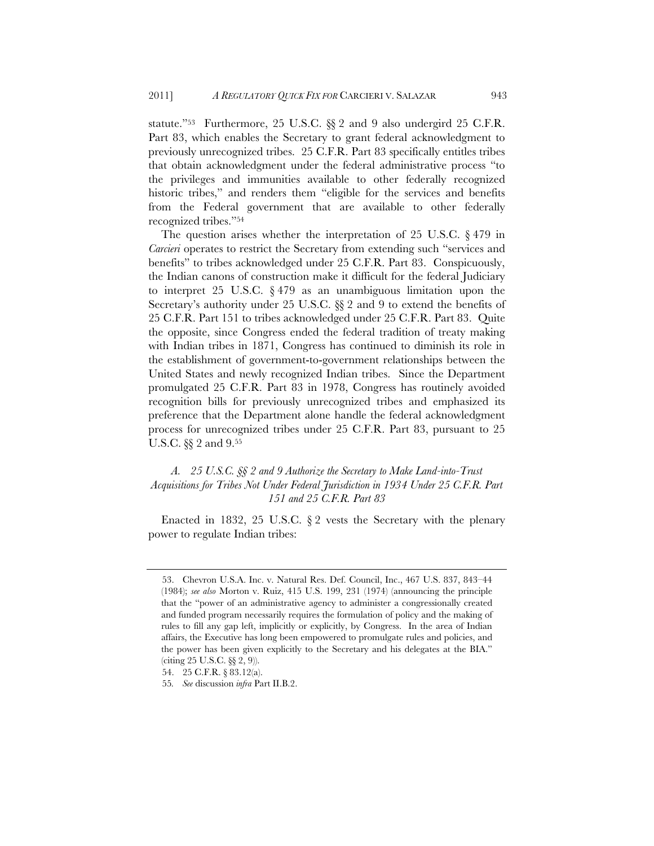statute."53 Furthermore, 25 U.S.C. §§ 2 and 9 also undergird 25 C.F.R. Part 83, which enables the Secretary to grant federal acknowledgment to previously unrecognized tribes. 25 C.F.R. Part 83 specifically entitles tribes that obtain acknowledgment under the federal administrative process "to the privileges and immunities available to other federally recognized historic tribes," and renders them "eligible for the services and benefits from the Federal government that are available to other federally recognized tribes."54

The question arises whether the interpretation of 25 U.S.C. § 479 in *Carcieri* operates to restrict the Secretary from extending such "services and benefits" to tribes acknowledged under 25 C.F.R. Part 83. Conspicuously, the Indian canons of construction make it difficult for the federal Judiciary to interpret 25 U.S.C. § 479 as an unambiguous limitation upon the Secretary's authority under 25 U.S.C. §§ 2 and 9 to extend the benefits of 25 C.F.R. Part 151 to tribes acknowledged under 25 C.F.R. Part 83. Quite the opposite, since Congress ended the federal tradition of treaty making with Indian tribes in 1871, Congress has continued to diminish its role in the establishment of government-to-government relationships between the United States and newly recognized Indian tribes. Since the Department promulgated 25 C.F.R. Part 83 in 1978, Congress has routinely avoided recognition bills for previously unrecognized tribes and emphasized its preference that the Department alone handle the federal acknowledgment process for unrecognized tribes under 25 C.F.R. Part 83, pursuant to 25 U.S.C. §§ 2 and 9.55

# *A. 25 U.S.C. §§ 2 and 9 Authorize the Secretary to Make Land-into-Trust Acquisitions for Tribes Not Under Federal Jurisdiction in 1934 Under 25 C.F.R. Part 151 and 25 C.F.R. Part 83*

Enacted in 1832, 25 U.S.C. § 2 vests the Secretary with the plenary power to regulate Indian tribes:

 <sup>53.</sup> Chevron U.S.A. Inc. v. Natural Res. Def. Council, Inc., 467 U.S. 837, 843–44 (1984); *see also* Morton v. Ruiz, 415 U.S. 199, 231 (1974) (announcing the principle that the "power of an administrative agency to administer a congressionally created and funded program necessarily requires the formulation of policy and the making of rules to fill any gap left, implicitly or explicitly, by Congress. In the area of Indian affairs, the Executive has long been empowered to promulgate rules and policies, and the power has been given explicitly to the Secretary and his delegates at the BIA." (citing 25 U.S.C. §§ 2, 9)).

<sup>54. 25</sup> C.F.R. § 83.12(a).

<sup>55</sup>*. See* discussion *infra* Part II.B.2.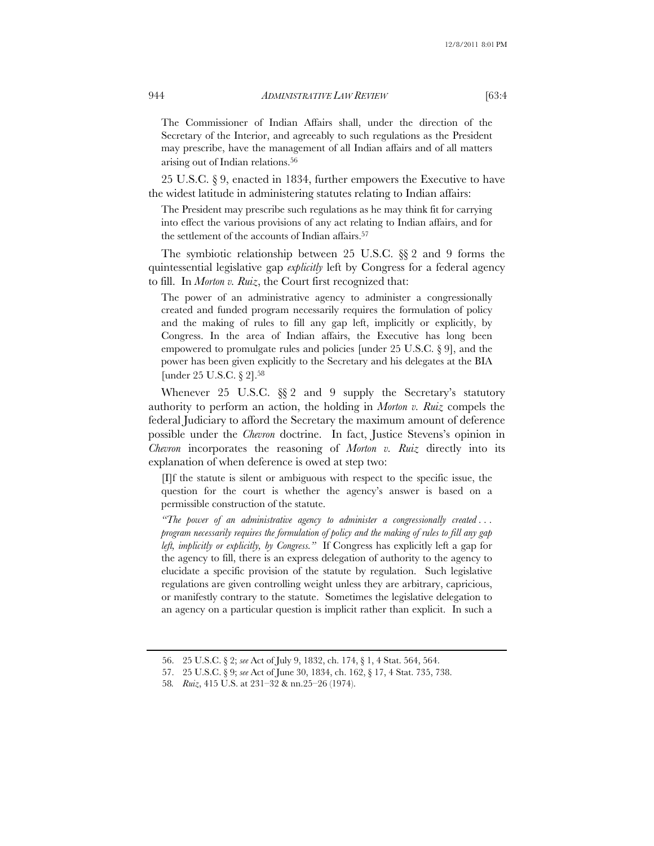### 944 *ADMINISTRATIVE LAW REVIEW* [63:4

The Commissioner of Indian Affairs shall, under the direction of the Secretary of the Interior, and agreeably to such regulations as the President may prescribe, have the management of all Indian affairs and of all matters arising out of Indian relations.56

25 U.S.C. § 9, enacted in 1834, further empowers the Executive to have the widest latitude in administering statutes relating to Indian affairs:

The President may prescribe such regulations as he may think fit for carrying into effect the various provisions of any act relating to Indian affairs, and for the settlement of the accounts of Indian affairs.<sup>57</sup>

The symbiotic relationship between 25 U.S.C. §§ 2 and 9 forms the quintessential legislative gap *explicitly* left by Congress for a federal agency to fill. In *Morton v. Ruiz*, the Court first recognized that:

The power of an administrative agency to administer a congressionally created and funded program necessarily requires the formulation of policy and the making of rules to fill any gap left, implicitly or explicitly, by Congress. In the area of Indian affairs, the Executive has long been empowered to promulgate rules and policies [under 25 U.S.C. § 9], and the power has been given explicitly to the Secretary and his delegates at the BIA [under 25 U.S.C. § 2].58

Whenever 25 U.S.C. §§ 2 and 9 supply the Secretary's statutory authority to perform an action, the holding in *Morton v. Ruiz* compels the federal Judiciary to afford the Secretary the maximum amount of deference possible under the *Chevron* doctrine. In fact, Justice Stevens's opinion in *Chevron* incorporates the reasoning of *Morton v. Ruiz* directly into its explanation of when deference is owed at step two:

[I]f the statute is silent or ambiguous with respect to the specific issue, the question for the court is whether the agency's answer is based on a permissible construction of the statute.

*"The power of an administrative agency to administer a congressionally created . . . program necessarily requires the formulation of policy and the making of rules to fill any gap left, implicitly or explicitly, by Congress."* If Congress has explicitly left a gap for the agency to fill, there is an express delegation of authority to the agency to elucidate a specific provision of the statute by regulation. Such legislative regulations are given controlling weight unless they are arbitrary, capricious, or manifestly contrary to the statute. Sometimes the legislative delegation to an agency on a particular question is implicit rather than explicit. In such a

<sup>56. 25</sup> U.S.C. § 2; *see* Act of July 9, 1832, ch. 174, § 1, 4 Stat. 564, 564.

<sup>57. 25</sup> U.S.C. § 9; *see* Act of June 30, 1834, ch. 162, § 17, 4 Stat. 735, 738.

<sup>58</sup>*. Ruiz*, 415 U.S. at 231–32 & nn.25–26 (1974).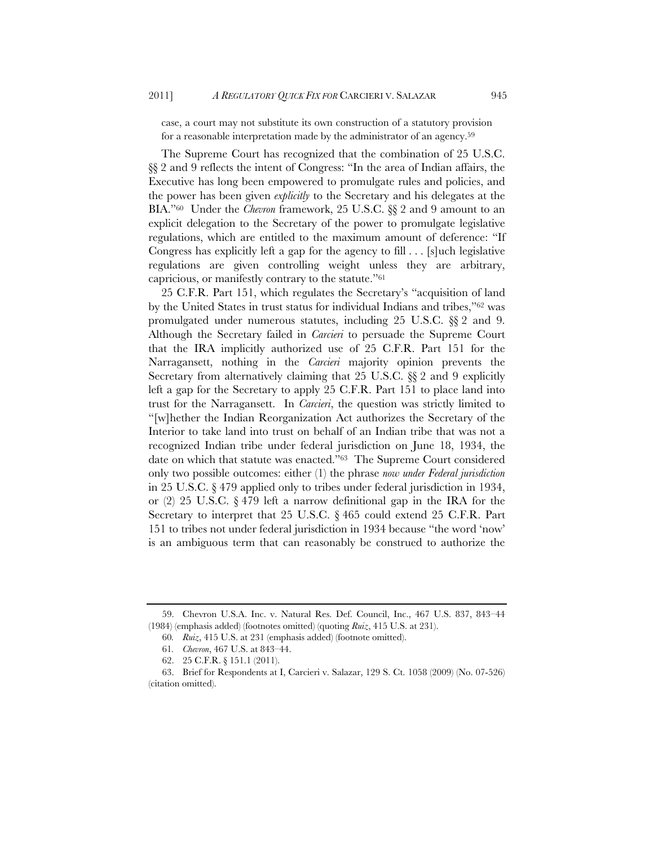case, a court may not substitute its own construction of a statutory provision for a reasonable interpretation made by the administrator of an agency.59

The Supreme Court has recognized that the combination of 25 U.S.C. §§ 2 and 9 reflects the intent of Congress: "In the area of Indian affairs, the Executive has long been empowered to promulgate rules and policies, and the power has been given *explicitly* to the Secretary and his delegates at the BIA."60 Under the *Chevron* framework, 25 U.S.C. §§ 2 and 9 amount to an explicit delegation to the Secretary of the power to promulgate legislative regulations, which are entitled to the maximum amount of deference: "If Congress has explicitly left a gap for the agency to fill . . . [s]uch legislative regulations are given controlling weight unless they are arbitrary, capricious, or manifestly contrary to the statute."61

25 C.F.R. Part 151, which regulates the Secretary's "acquisition of land by the United States in trust status for individual Indians and tribes,"62 was promulgated under numerous statutes, including 25 U.S.C. §§ 2 and 9. Although the Secretary failed in *Carcieri* to persuade the Supreme Court that the IRA implicitly authorized use of 25 C.F.R. Part 151 for the Narragansett, nothing in the *Carcieri* majority opinion prevents the Secretary from alternatively claiming that 25 U.S.C. §§ 2 and 9 explicitly left a gap for the Secretary to apply 25 C.F.R. Part 151 to place land into trust for the Narragansett. In *Carcieri*, the question was strictly limited to "[w]hether the Indian Reorganization Act authorizes the Secretary of the Interior to take land into trust on behalf of an Indian tribe that was not a recognized Indian tribe under federal jurisdiction on June 18, 1934, the date on which that statute was enacted."63 The Supreme Court considered only two possible outcomes: either (1) the phrase *now under Federal jurisdiction* in 25 U.S.C. § 479 applied only to tribes under federal jurisdiction in 1934, or  $(2)$  25 U.S.C. § 479 left a narrow definitional gap in the IRA for the Secretary to interpret that 25 U.S.C. § 465 could extend 25 C.F.R. Part 151 to tribes not under federal jurisdiction in 1934 because "the word 'now' is an ambiguous term that can reasonably be construed to authorize the

<sup>59.</sup> Chevron U.S.A. Inc. v. Natural Res. Def. Council, Inc., 467 U.S. 837, 843–44 (1984) (emphasis added) (footnotes omitted) (quoting *Ruiz*, 415 U.S. at 231).

<sup>60</sup>*. Ruiz*, 415 U.S. at 231 (emphasis added) (footnote omitted).

<sup>61</sup>*. Chevron*, 467 U.S. at 843–44.

<sup>62. 25</sup> C.F.R. § 151.1 (2011).

<sup>63.</sup> Brief for Respondents at I, Carcieri v. Salazar, 129 S. Ct. 1058 (2009) (No. 07-526) (citation omitted).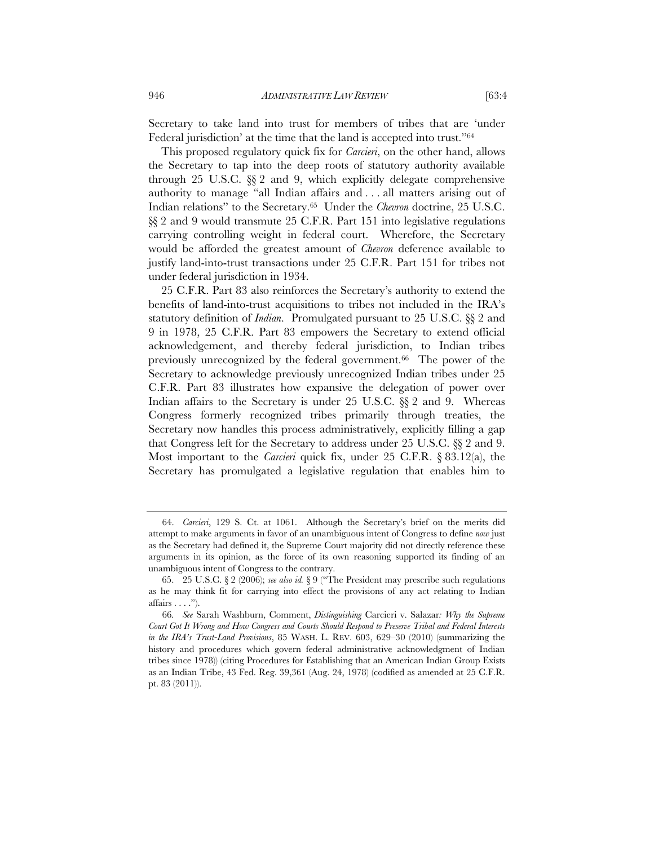Secretary to take land into trust for members of tribes that are 'under Federal jurisdiction' at the time that the land is accepted into trust."64

This proposed regulatory quick fix for *Carcieri*, on the other hand, allows the Secretary to tap into the deep roots of statutory authority available through 25 U.S.C. §§ 2 and 9, which explicitly delegate comprehensive authority to manage "all Indian affairs and . . . all matters arising out of Indian relations" to the Secretary.65 Under the *Chevron* doctrine, 25 U.S.C. §§ 2 and 9 would transmute 25 C.F.R. Part 151 into legislative regulations carrying controlling weight in federal court. Wherefore, the Secretary would be afforded the greatest amount of *Chevron* deference available to justify land-into-trust transactions under 25 C.F.R. Part 151 for tribes not under federal jurisdiction in 1934.

25 C.F.R. Part 83 also reinforces the Secretary's authority to extend the benefits of land-into-trust acquisitions to tribes not included in the IRA's statutory definition of *Indian*. Promulgated pursuant to 25 U.S.C. §§ 2 and 9 in 1978, 25 C.F.R. Part 83 empowers the Secretary to extend official acknowledgement, and thereby federal jurisdiction, to Indian tribes previously unrecognized by the federal government.66 The power of the Secretary to acknowledge previously unrecognized Indian tribes under 25 C.F.R. Part 83 illustrates how expansive the delegation of power over Indian affairs to the Secretary is under 25 U.S.C. §§ 2 and 9. Whereas Congress formerly recognized tribes primarily through treaties, the Secretary now handles this process administratively, explicitly filling a gap that Congress left for the Secretary to address under 25 U.S.C. §§ 2 and 9. Most important to the *Carcieri* quick fix, under 25 C.F.R. § 83.12(a), the Secretary has promulgated a legislative regulation that enables him to

<sup>64.</sup> *Carcieri*, 129 S. Ct. at 1061. Although the Secretary's brief on the merits did attempt to make arguments in favor of an unambiguous intent of Congress to define *now* just as the Secretary had defined it, the Supreme Court majority did not directly reference these arguments in its opinion, as the force of its own reasoning supported its finding of an unambiguous intent of Congress to the contrary.

<sup>65. 25</sup> U.S.C. § 2 (2006); *see also id.* § 9 ("The President may prescribe such regulations as he may think fit for carrying into effect the provisions of any act relating to Indian  $affairs \ldots$ ").

<sup>66</sup>*. See* Sarah Washburn, Comment, *Distinguishing* Carcieri v. Salazar*: Why the Supreme Court Got It Wrong and How Congress and Courts Should Respond to Preserve Tribal and Federal Interests in the IRA's Trust-Land Provisions*, 85 WASH. L. REV. 603, 629–30 (2010) (summarizing the history and procedures which govern federal administrative acknowledgment of Indian tribes since 1978)) (citing Procedures for Establishing that an American Indian Group Exists as an Indian Tribe, 43 Fed. Reg. 39,361 (Aug. 24, 1978) (codified as amended at 25 C.F.R. pt. 83 (2011)).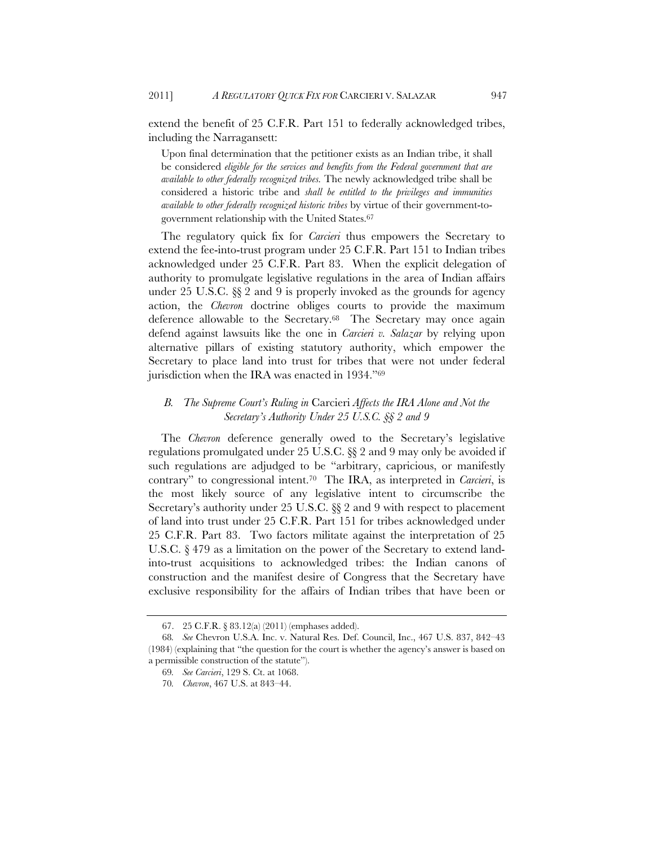extend the benefit of 25 C.F.R. Part 151 to federally acknowledged tribes, including the Narragansett:

Upon final determination that the petitioner exists as an Indian tribe, it shall be considered *eligible for the services and benefits from the Federal government that are available to other federally recognized tribes.* The newly acknowledged tribe shall be considered a historic tribe and *shall be entitled to the privileges and immunities available to other federally recognized historic tribes* by virtue of their government-togovernment relationship with the United States.67

The regulatory quick fix for *Carcieri* thus empowers the Secretary to extend the fee-into-trust program under 25 C.F.R. Part 151 to Indian tribes acknowledged under 25 C.F.R. Part 83. When the explicit delegation of authority to promulgate legislative regulations in the area of Indian affairs under 25 U.S.C. §§ 2 and 9 is properly invoked as the grounds for agency action, the *Chevron* doctrine obliges courts to provide the maximum deference allowable to the Secretary.68 The Secretary may once again defend against lawsuits like the one in *Carcieri v. Salazar* by relying upon alternative pillars of existing statutory authority, which empower the Secretary to place land into trust for tribes that were not under federal jurisdiction when the IRA was enacted in 1934."69

# *B. The Supreme Court's Ruling in* Carcieri *Affects the IRA Alone and Not the Secretary's Authority Under 25 U.S.C. §§ 2 and 9*

The *Chevron* deference generally owed to the Secretary's legislative regulations promulgated under 25 U.S.C. §§ 2 and 9 may only be avoided if such regulations are adjudged to be "arbitrary, capricious, or manifestly contrary" to congressional intent.70 The IRA, as interpreted in *Carcieri*, is the most likely source of any legislative intent to circumscribe the Secretary's authority under 25 U.S.C. §§ 2 and 9 with respect to placement of land into trust under 25 C.F.R. Part 151 for tribes acknowledged under 25 C.F.R. Part 83. Two factors militate against the interpretation of 25 U.S.C. § 479 as a limitation on the power of the Secretary to extend landinto-trust acquisitions to acknowledged tribes: the Indian canons of construction and the manifest desire of Congress that the Secretary have exclusive responsibility for the affairs of Indian tribes that have been or

<sup>67. 25</sup> C.F.R. § 83.12(a) (2011) (emphases added).

<sup>68</sup>*. See* Chevron U.S.A. Inc. v. Natural Res. Def. Council, Inc., 467 U.S. 837, 842–43 (1984) (explaining that "the question for the court is whether the agency's answer is based on a permissible construction of the statute").

<sup>69</sup>*. See Carcieri*, 129 S. Ct. at 1068.

<sup>70</sup>*. Chevron*, 467 U.S. at 843–44.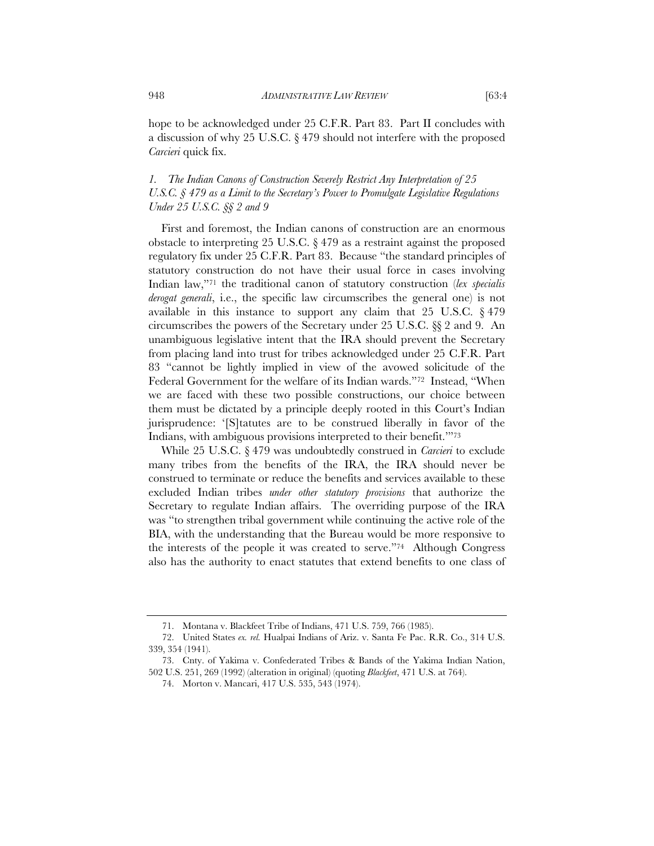hope to be acknowledged under 25 C.F.R. Part 83. Part II concludes with a discussion of why 25 U.S.C. § 479 should not interfere with the proposed *Carcieri* quick fix.

### *1. The Indian Canons of Construction Severely Restrict Any Interpretation of 25 U.S.C. § 479 as a Limit to the Secretary's Power to Promulgate Legislative Regulations Under 25 U.S.C. §§ 2 and 9*

First and foremost, the Indian canons of construction are an enormous obstacle to interpreting 25 U.S.C. § 479 as a restraint against the proposed regulatory fix under 25 C.F.R. Part 83. Because "the standard principles of statutory construction do not have their usual force in cases involving Indian law,"71 the traditional canon of statutory construction (*lex specialis derogat generali*, i.e., the specific law circumscribes the general one) is not available in this instance to support any claim that 25 U.S.C. § 479 circumscribes the powers of the Secretary under 25 U.S.C. §§ 2 and 9. An unambiguous legislative intent that the IRA should prevent the Secretary from placing land into trust for tribes acknowledged under 25 C.F.R. Part 83 "cannot be lightly implied in view of the avowed solicitude of the Federal Government for the welfare of its Indian wards."72 Instead, "When we are faced with these two possible constructions, our choice between them must be dictated by a principle deeply rooted in this Court's Indian jurisprudence: '[S]tatutes are to be construed liberally in favor of the Indians, with ambiguous provisions interpreted to their benefit.'"73

While 25 U.S.C. § 479 was undoubtedly construed in *Carcieri* to exclude many tribes from the benefits of the IRA, the IRA should never be construed to terminate or reduce the benefits and services available to these excluded Indian tribes *under other statutory provisions* that authorize the Secretary to regulate Indian affairs. The overriding purpose of the IRA was "to strengthen tribal government while continuing the active role of the BIA, with the understanding that the Bureau would be more responsive to the interests of the people it was created to serve."74 Although Congress also has the authority to enact statutes that extend benefits to one class of

<sup>71.</sup> Montana v. Blackfeet Tribe of Indians, 471 U.S. 759, 766 (1985).

<sup>72.</sup> United States *ex. rel.* Hualpai Indians of Ariz. v. Santa Fe Pac. R.R. Co., 314 U.S. 339, 354 (1941).

<sup>73.</sup> Cnty. of Yakima v. Confederated Tribes & Bands of the Yakima Indian Nation, 502 U.S. 251, 269 (1992) (alteration in original) (quoting *Blackfeet*, 471 U.S. at 764).

<sup>74.</sup> Morton v. Mancari, 417 U.S. 535, 543 (1974).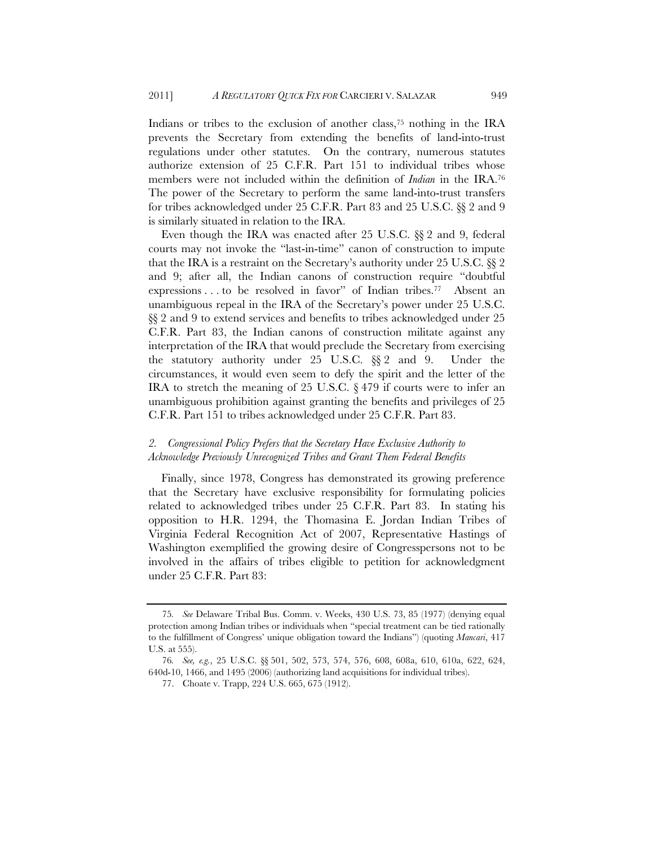Indians or tribes to the exclusion of another class,<sup>75</sup> nothing in the IRA prevents the Secretary from extending the benefits of land-into-trust regulations under other statutes. On the contrary, numerous statutes authorize extension of 25 C.F.R. Part 151 to individual tribes whose members were not included within the definition of *Indian* in the IRA.76 The power of the Secretary to perform the same land-into-trust transfers for tribes acknowledged under 25 C.F.R. Part 83 and 25 U.S.C. §§ 2 and 9 is similarly situated in relation to the IRA.

Even though the IRA was enacted after 25 U.S.C. §§ 2 and 9, federal courts may not invoke the "last-in-time" canon of construction to impute that the IRA is a restraint on the Secretary's authority under 25 U.S.C. §§ 2 and 9; after all, the Indian canons of construction require "doubtful expressions . . . to be resolved in favor" of Indian tribes.77 Absent an unambiguous repeal in the IRA of the Secretary's power under 25 U.S.C. §§ 2 and 9 to extend services and benefits to tribes acknowledged under 25 C.F.R. Part 83, the Indian canons of construction militate against any interpretation of the IRA that would preclude the Secretary from exercising the statutory authority under 25 U.S.C. §§ 2 and 9. Under the circumstances, it would even seem to defy the spirit and the letter of the IRA to stretch the meaning of 25 U.S.C.  $\S 479$  if courts were to infer an unambiguous prohibition against granting the benefits and privileges of 25 C.F.R. Part 151 to tribes acknowledged under 25 C.F.R. Part 83.

### *2. Congressional Policy Prefers that the Secretary Have Exclusive Authority to Acknowledge Previously Unrecognized Tribes and Grant Them Federal Benefits*

Finally, since 1978, Congress has demonstrated its growing preference that the Secretary have exclusive responsibility for formulating policies related to acknowledged tribes under 25 C.F.R. Part 83. In stating his opposition to H.R. 1294, the Thomasina E. Jordan Indian Tribes of Virginia Federal Recognition Act of 2007, Representative Hastings of Washington exemplified the growing desire of Congresspersons not to be involved in the affairs of tribes eligible to petition for acknowledgment under 25 C.F.R. Part 83:

<sup>75</sup>*. See* Delaware Tribal Bus. Comm. v. Weeks, 430 U.S. 73, 85 (1977) (denying equal protection among Indian tribes or individuals when "special treatment can be tied rationally to the fulfillment of Congress' unique obligation toward the Indians") (quoting *Mancari*, 417 U.S. at 555).

<sup>76</sup>*. See, e.g.*, 25 U.S.C. §§ 501, 502, 573, 574, 576, 608, 608a, 610, 610a, 622, 624, 640d-10, 1466, and 1495 (2006) (authorizing land acquisitions for individual tribes).

<sup>77.</sup> Choate v. Trapp, 224 U.S. 665, 675 (1912).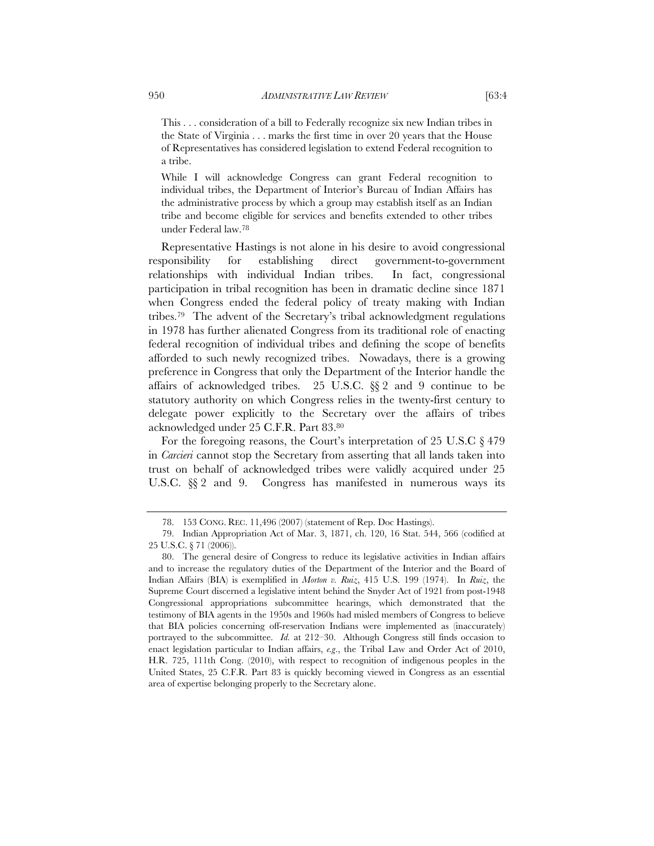This . . . consideration of a bill to Federally recognize six new Indian tribes in the State of Virginia . . . marks the first time in over 20 years that the House of Representatives has considered legislation to extend Federal recognition to a tribe.

While I will acknowledge Congress can grant Federal recognition to individual tribes, the Department of Interior's Bureau of Indian Affairs has the administrative process by which a group may establish itself as an Indian tribe and become eligible for services and benefits extended to other tribes under Federal law.78

Representative Hastings is not alone in his desire to avoid congressional responsibility for establishing direct government-to-government relationships with individual Indian tribes. In fact, congressional participation in tribal recognition has been in dramatic decline since 1871 when Congress ended the federal policy of treaty making with Indian tribes.79 The advent of the Secretary's tribal acknowledgment regulations in 1978 has further alienated Congress from its traditional role of enacting federal recognition of individual tribes and defining the scope of benefits afforded to such newly recognized tribes. Nowadays, there is a growing preference in Congress that only the Department of the Interior handle the affairs of acknowledged tribes. 25 U.S.C. §§ 2 and 9 continue to be statutory authority on which Congress relies in the twenty-first century to delegate power explicitly to the Secretary over the affairs of tribes acknowledged under 25 C.F.R. Part 83.80

For the foregoing reasons, the Court's interpretation of 25 U.S.C § 479 in *Carcieri* cannot stop the Secretary from asserting that all lands taken into trust on behalf of acknowledged tribes were validly acquired under 25 U.S.C.  $\S$  2 and 9. Congress has manifested in numerous ways its

<sup>78. 153</sup> CONG. REC. 11,496 (2007) (statement of Rep. Doc Hastings).

<sup>79.</sup> Indian Appropriation Act of Mar. 3, 1871, ch. 120, 16 Stat. 544, 566 (codified at 25 U.S.C. § 71 (2006)).

<sup>80.</sup> The general desire of Congress to reduce its legislative activities in Indian affairs and to increase the regulatory duties of the Department of the Interior and the Board of Indian Affairs (BIA) is exemplified in *Morton v. Ruiz*, 415 U.S. 199 (1974). In *Ruiz*, the Supreme Court discerned a legislative intent behind the Snyder Act of 1921 from post-1948 Congressional appropriations subcommittee hearings, which demonstrated that the testimony of BIA agents in the 1950s and 1960s had misled members of Congress to believe that BIA policies concerning off-reservation Indians were implemented as (inaccurately) portrayed to the subcommittee. *Id.* at 212–30. Although Congress still finds occasion to enact legislation particular to Indian affairs, *e.g*., the Tribal Law and Order Act of 2010, H.R. 725, 111th Cong. (2010), with respect to recognition of indigenous peoples in the United States, 25 C.F.R. Part 83 is quickly becoming viewed in Congress as an essential area of expertise belonging properly to the Secretary alone.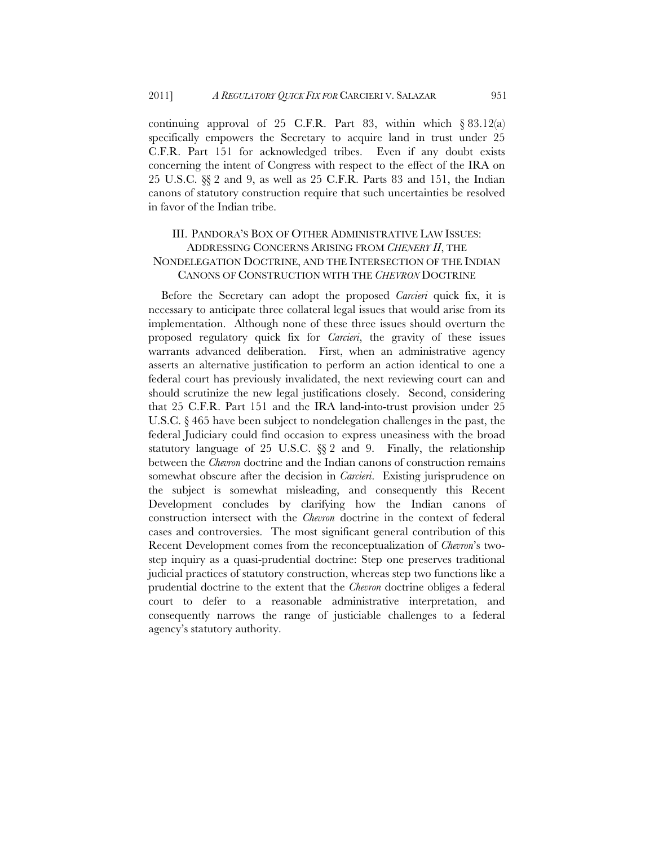continuing approval of 25 C.F.R. Part 83, within which  $\S 83.12(a)$ specifically empowers the Secretary to acquire land in trust under 25 C.F.R. Part 151 for acknowledged tribes. Even if any doubt exists concerning the intent of Congress with respect to the effect of the IRA on 25 U.S.C. §§ 2 and 9, as well as 25 C.F.R. Parts 83 and 151, the Indian canons of statutory construction require that such uncertainties be resolved in favor of the Indian tribe.

# III. PANDORA'S BOX OF OTHER ADMINISTRATIVE LAW ISSUES: ADDRESSING CONCERNS ARISING FROM *CHENERY II*, THE NONDELEGATION DOCTRINE, AND THE INTERSECTION OF THE INDIAN CANONS OF CONSTRUCTION WITH THE *CHEVRON* DOCTRINE

Before the Secretary can adopt the proposed *Carcieri* quick fix, it is necessary to anticipate three collateral legal issues that would arise from its implementation. Although none of these three issues should overturn the proposed regulatory quick fix for *Carcieri*, the gravity of these issues warrants advanced deliberation. First, when an administrative agency asserts an alternative justification to perform an action identical to one a federal court has previously invalidated, the next reviewing court can and should scrutinize the new legal justifications closely. Second, considering that 25 C.F.R. Part 151 and the IRA land-into-trust provision under 25 U.S.C. § 465 have been subject to nondelegation challenges in the past, the federal Judiciary could find occasion to express uneasiness with the broad statutory language of 25 U.S.C. §§ 2 and 9. Finally, the relationship between the *Chevron* doctrine and the Indian canons of construction remains somewhat obscure after the decision in *Carcieri*. Existing jurisprudence on the subject is somewhat misleading, and consequently this Recent Development concludes by clarifying how the Indian canons of construction intersect with the *Chevron* doctrine in the context of federal cases and controversies. The most significant general contribution of this Recent Development comes from the reconceptualization of *Chevron*'s twostep inquiry as a quasi-prudential doctrine: Step one preserves traditional judicial practices of statutory construction, whereas step two functions like a prudential doctrine to the extent that the *Chevron* doctrine obliges a federal court to defer to a reasonable administrative interpretation, and consequently narrows the range of justiciable challenges to a federal agency's statutory authority.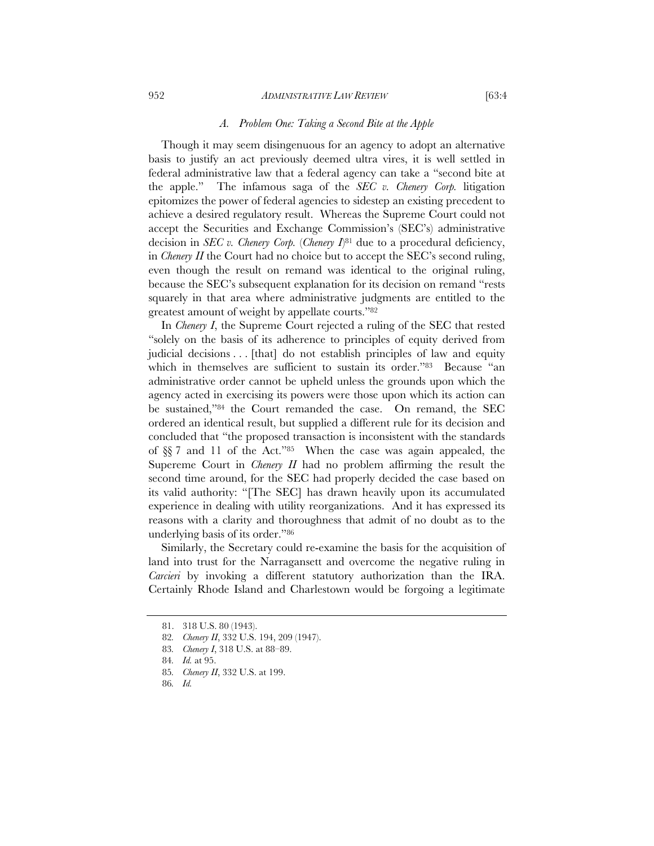#### 952 *ADMINISTRATIVE LAW REVIEW* [63:4

Though it may seem disingenuous for an agency to adopt an alternative basis to justify an act previously deemed ultra vires, it is well settled in federal administrative law that a federal agency can take a "second bite at the apple." The infamous saga of the *SEC v. Chenery Corp.* litigation epitomizes the power of federal agencies to sidestep an existing precedent to achieve a desired regulatory result. Whereas the Supreme Court could not accept the Securities and Exchange Commission's (SEC's) administrative decision in *SEC v. Chenery Corp.* (*Chenery I*<sup>81</sup> due to a procedural deficiency, in *Chenery II* the Court had no choice but to accept the SEC's second ruling, even though the result on remand was identical to the original ruling, because the SEC's subsequent explanation for its decision on remand "rests squarely in that area where administrative judgments are entitled to the greatest amount of weight by appellate courts."82

In *Chenery I*, the Supreme Court rejected a ruling of the SEC that rested "solely on the basis of its adherence to principles of equity derived from judicial decisions . . . [that] do not establish principles of law and equity which in themselves are sufficient to sustain its order."<sup>83</sup> Because "an administrative order cannot be upheld unless the grounds upon which the agency acted in exercising its powers were those upon which its action can be sustained,"84 the Court remanded the case. On remand, the SEC ordered an identical result, but supplied a different rule for its decision and concluded that "the proposed transaction is inconsistent with the standards of §§ 7 and 11 of the Act."85 When the case was again appealed, the Supereme Court in *Chenery II* had no problem affirming the result the second time around, for the SEC had properly decided the case based on its valid authority: "[The SEC] has drawn heavily upon its accumulated experience in dealing with utility reorganizations. And it has expressed its reasons with a clarity and thoroughness that admit of no doubt as to the underlying basis of its order."86

Similarly, the Secretary could re-examine the basis for the acquisition of land into trust for the Narragansett and overcome the negative ruling in *Carcieri* by invoking a different statutory authorization than the IRA. Certainly Rhode Island and Charlestown would be forgoing a legitimate

<sup>81. 318</sup> U.S. 80 (1943).

<sup>82</sup>*. Chenery II*, 332 U.S. 194, 209 (1947).

<sup>83</sup>*. Chenery I*, 318 U.S. at 88–89.

<sup>84</sup>*. Id.* at 95.

<sup>85</sup>*. Chenery II*, 332 U.S. at 199.

<sup>86</sup>*. Id.*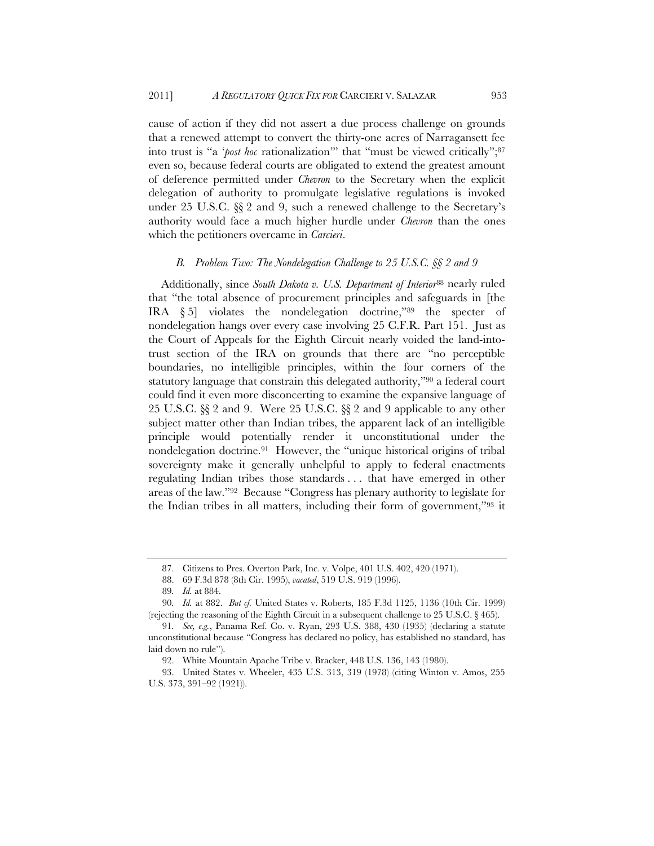cause of action if they did not assert a due process challenge on grounds that a renewed attempt to convert the thirty-one acres of Narragansett fee into trust is "a '*post hoc* rationalization'" that "must be viewed critically";87 even so, because federal courts are obligated to extend the greatest amount of deference permitted under *Chevron* to the Secretary when the explicit delegation of authority to promulgate legislative regulations is invoked under 25 U.S.C. §§ 2 and 9, such a renewed challenge to the Secretary's authority would face a much higher hurdle under *Chevron* than the ones which the petitioners overcame in *Carcieri*.

#### *B. Problem Two: The Nondelegation Challenge to 25 U.S.C. §§ 2 and 9*

Additionally, since *South Dakota v. U.S. Department of Interior*88 nearly ruled that "the total absence of procurement principles and safeguards in [the IRA § 5] violates the nondelegation doctrine,"89 the specter of nondelegation hangs over every case involving 25 C.F.R. Part 151. Just as the Court of Appeals for the Eighth Circuit nearly voided the land-intotrust section of the IRA on grounds that there are "no perceptible boundaries, no intelligible principles, within the four corners of the statutory language that constrain this delegated authority,"<sup>90</sup> a federal court could find it even more disconcerting to examine the expansive language of 25 U.S.C. §§ 2 and 9. Were 25 U.S.C. §§ 2 and 9 applicable to any other subject matter other than Indian tribes, the apparent lack of an intelligible principle would potentially render it unconstitutional under the nondelegation doctrine.91 However, the "unique historical origins of tribal sovereignty make it generally unhelpful to apply to federal enactments regulating Indian tribes those standards . . . that have emerged in other areas of the law."92 Because "Congress has plenary authority to legislate for the Indian tribes in all matters, including their form of government,"93 it

<sup>87.</sup> Citizens to Pres. Overton Park, Inc. v. Volpe, 401 U.S. 402, 420 (1971).

<sup>88. 69</sup> F.3d 878 (8th Cir. 1995), *vacated*, 519 U.S. 919 (1996).

<sup>89</sup>*. Id.* at 884.

<sup>90</sup>*. Id.* at 882. *But cf.* United States v. Roberts, 185 F.3d 1125, 1136 (10th Cir. 1999) (rejecting the reasoning of the Eighth Circuit in a subsequent challenge to 25 U.S.C.  $\S$  465).

<sup>91</sup>*. See, e.g.*, Panama Ref. Co. v. Ryan, 293 U.S. 388, 430 (1935) (declaring a statute unconstitutional because "Congress has declared no policy, has established no standard, has laid down no rule").

<sup>92.</sup> White Mountain Apache Tribe v. Bracker, 448 U.S. 136, 143 (1980).

<sup>93.</sup> United States v. Wheeler, 435 U.S. 313, 319 (1978) (citing Winton v. Amos, 255 U.S. 373, 391–92 (1921)).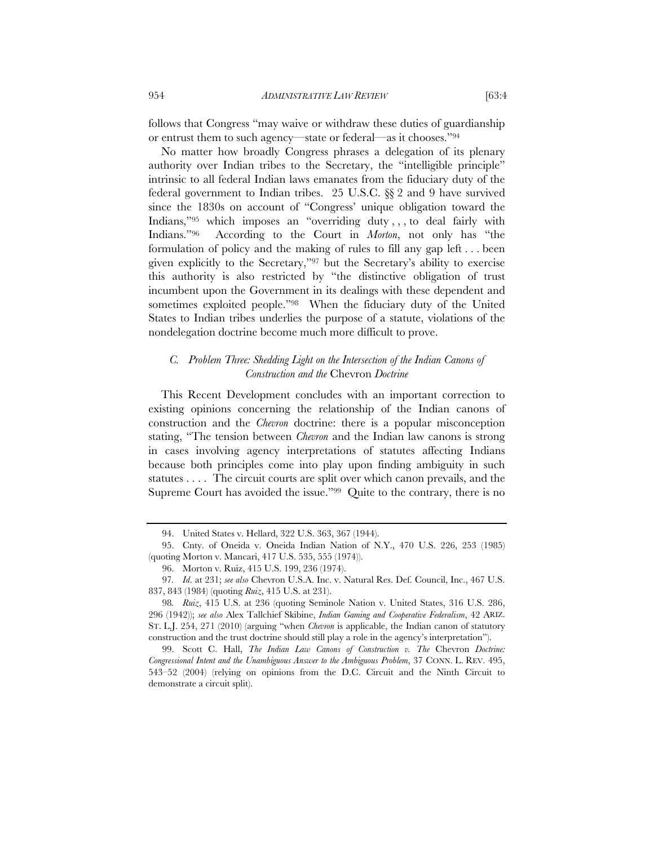follows that Congress "may waive or withdraw these duties of guardianship or entrust them to such agency—state or federal—as it chooses."94

No matter how broadly Congress phrases a delegation of its plenary authority over Indian tribes to the Secretary, the "intelligible principle" intrinsic to all federal Indian laws emanates from the fiduciary duty of the federal government to Indian tribes. 25 U.S.C. §§ 2 and 9 have survived since the 1830s on account of "Congress' unique obligation toward the Indians,"<sup>95</sup> which imposes an "overriding duty,,, to deal fairly with Indians."96 According to the Court in *Morton*, not only has "the formulation of policy and the making of rules to fill any gap left . . . been given explicitly to the Secretary,"97 but the Secretary's ability to exercise this authority is also restricted by "the distinctive obligation of trust incumbent upon the Government in its dealings with these dependent and sometimes exploited people."<sup>98</sup> When the fiduciary duty of the United States to Indian tribes underlies the purpose of a statute, violations of the nondelegation doctrine become much more difficult to prove.

### *C. Problem Three: Shedding Light on the Intersection of the Indian Canons of Construction and the* Chevron *Doctrine*

This Recent Development concludes with an important correction to existing opinions concerning the relationship of the Indian canons of construction and the *Chevron* doctrine: there is a popular misconception stating, "The tension between *Chevron* and the Indian law canons is strong in cases involving agency interpretations of statutes affecting Indians because both principles come into play upon finding ambiguity in such statutes . . . . The circuit courts are split over which canon prevails, and the Supreme Court has avoided the issue."99 Quite to the contrary, there is no

<sup>94.</sup> United States v. Hellard, 322 U.S. 363, 367 (1944).

<sup>95.</sup> Cnty. of Oneida v. Oneida Indian Nation of N.Y., 470 U.S. 226, 253 (1985) (quoting Morton v. Mancari, 417 U.S. 535, 555 (1974)).

<sup>96.</sup> Morton v. Ruiz, 415 U.S. 199, 236 (1974).

<sup>97</sup>*. Id*. at 231; *see also* Chevron U.S.A. Inc. v. Natural Res. Def. Council, Inc., 467 U.S. 837, 843 (1984) (quoting *Ruiz*, 415 U.S. at 231).

<sup>98</sup>*. Ruiz*, 415 U.S. at 236 (quoting Seminole Nation v. United States, 316 U.S. 286, 296 (1942)); *see also* Alex Tallchief Skibine, *Indian Gaming and Cooperative Federalism*, 42 ARIZ. ST. L.J. 254, 271 (2010) (arguing "when *Chevron* is applicable, the Indian canon of statutory construction and the trust doctrine should still play a role in the agency's interpretation").

<sup>99.</sup> Scott C. Hall, *The Indian Law Canons of Construction v. The* Chevron *Doctrine: Congressional Intent and the Unambiguous Answer to the Ambiguous Problem*, 37 CONN. L. REV. 495, 543–52 (2004) (relying on opinions from the D.C. Circuit and the Ninth Circuit to demonstrate a circuit split).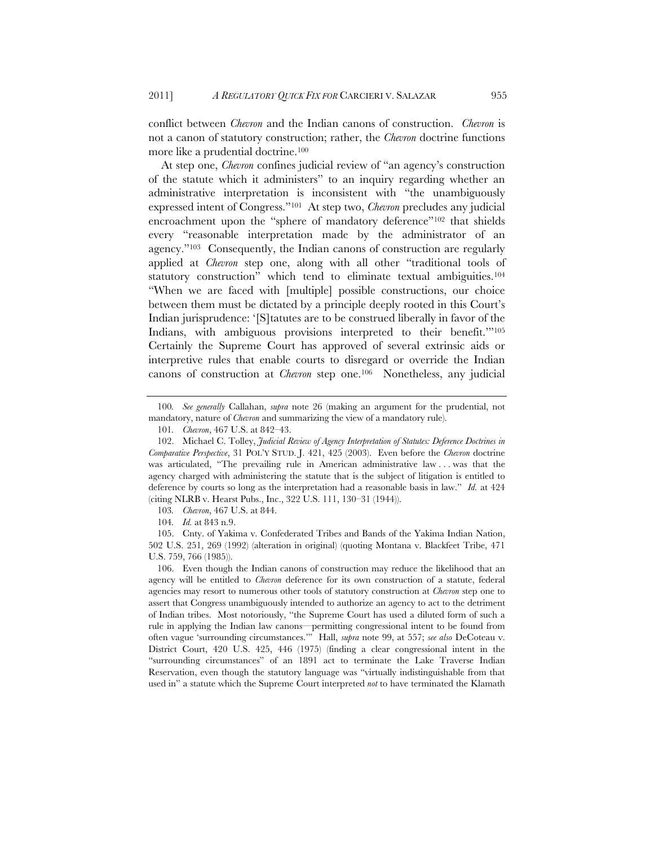conflict between *Chevron* and the Indian canons of construction. *Chevron* is not a canon of statutory construction; rather, the *Chevron* doctrine functions more like a prudential doctrine.100

At step one, *Chevron* confines judicial review of "an agency's construction of the statute which it administers" to an inquiry regarding whether an administrative interpretation is inconsistent with "the unambiguously expressed intent of Congress."101 At step two, *Chevron* precludes any judicial encroachment upon the "sphere of mandatory deference"<sup>102</sup> that shields every "reasonable interpretation made by the administrator of an agency."103 Consequently, the Indian canons of construction are regularly applied at *Chevron* step one, along with all other "traditional tools of statutory construction" which tend to eliminate textual ambiguities.104 "When we are faced with [multiple] possible constructions, our choice between them must be dictated by a principle deeply rooted in this Court's Indian jurisprudence: '[S]tatutes are to be construed liberally in favor of the Indians, with ambiguous provisions interpreted to their benefit."<sup>105</sup> Certainly the Supreme Court has approved of several extrinsic aids or interpretive rules that enable courts to disregard or override the Indian canons of construction at *Chevron* step one.106 Nonetheless, any judicial

<sup>100</sup>*. See generally* Callahan, *supra* note 26 (making an argument for the prudential, not mandatory, nature of *Chevron* and summarizing the view of a mandatory rule).

<sup>101</sup>*. Chevron*, 467 U.S. at 842–43.

 <sup>102.</sup> Michael C. Tolley, *Judicial Review of Agency Interpretation of Statutes: Deference Doctrines in Comparative Perspective*, 31 POL'Y STUD. J. 421, 425 (2003). Even before the *Chevron* doctrine was articulated, "The prevailing rule in American administrative law . . . was that the agency charged with administering the statute that is the subject of litigation is entitled to deference by courts so long as the interpretation had a reasonable basis in law." *Id.* at 424 (citing NLRB v. Hearst Pubs., Inc., 322 U.S. 111, 130–31 (1944)).

<sup>103</sup>*. Chevron*, 467 U.S. at 844.

<sup>104</sup>*. Id.* at 843 n.9.

<sup>105.</sup> Cnty. of Yakima v. Confederated Tribes and Bands of the Yakima Indian Nation, 502 U.S. 251, 269 (1992) (alteration in original) (quoting Montana v. Blackfeet Tribe, 471 U.S. 759, 766 (1985)).

 <sup>106.</sup> Even though the Indian canons of construction may reduce the likelihood that an agency will be entitled to *Chevron* deference for its own construction of a statute, federal agencies may resort to numerous other tools of statutory construction at *Chevron* step one to assert that Congress unambiguously intended to authorize an agency to act to the detriment of Indian tribes. Most notoriously, "the Supreme Court has used a diluted form of such a rule in applying the Indian law canons—permitting congressional intent to be found from often vague 'surrounding circumstances.'" Hall, *supra* note 99, at 557; *see also* DeCoteau v. District Court, 420 U.S. 425, 446 (1975) (finding a clear congressional intent in the "surrounding circumstances" of an 1891 act to terminate the Lake Traverse Indian Reservation, even though the statutory language was "virtually indistinguishable from that used in" a statute which the Supreme Court interpreted *not* to have terminated the Klamath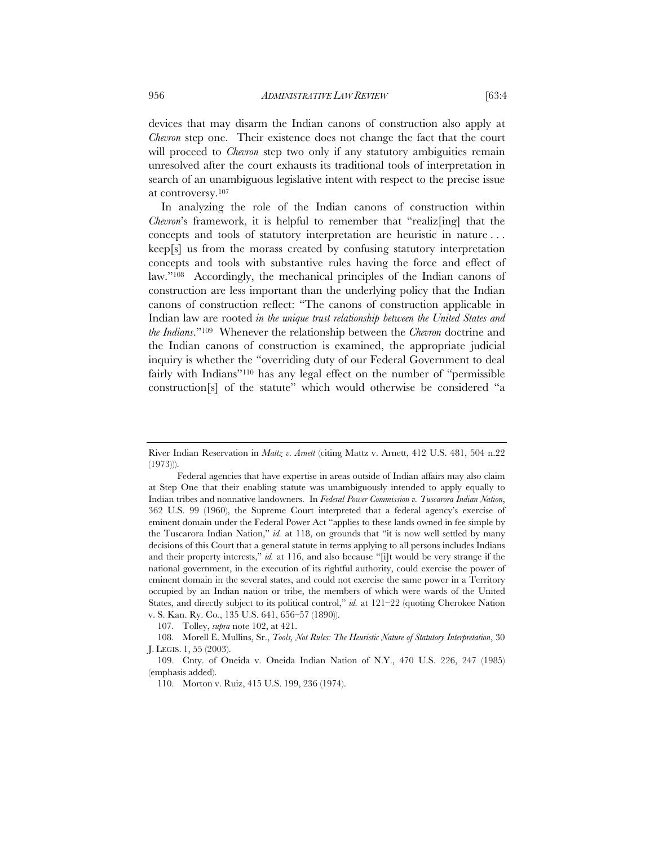devices that may disarm the Indian canons of construction also apply at *Chevron* step one. Their existence does not change the fact that the court will proceed to *Chevron* step two only if any statutory ambiguities remain unresolved after the court exhausts its traditional tools of interpretation in search of an unambiguous legislative intent with respect to the precise issue at controversy.107

In analyzing the role of the Indian canons of construction within *Chevron*'s framework, it is helpful to remember that "realiz<sup>[ing]</sup> that the concepts and tools of statutory interpretation are heuristic in nature . . . keep[s] us from the morass created by confusing statutory interpretation concepts and tools with substantive rules having the force and effect of law."108 Accordingly, the mechanical principles of the Indian canons of construction are less important than the underlying policy that the Indian canons of construction reflect: "The canons of construction applicable in Indian law are rooted *in the unique trust relationship between the United States and the Indians*."109 Whenever the relationship between the *Chevron* doctrine and the Indian canons of construction is examined, the appropriate judicial inquiry is whether the "overriding duty of our Federal Government to deal fairly with Indians"110 has any legal effect on the number of "permissible construction[s] of the statute" which would otherwise be considered "a

107. Tolley, *supra* note 102, at 421.

River Indian Reservation in *Mattz v. Arnett* (citing Mattz v. Arnett, 412 U.S. 481, 504 n.22  $(1973)$ 

Federal agencies that have expertise in areas outside of Indian affairs may also claim at Step One that their enabling statute was unambiguously intended to apply equally to Indian tribes and nonnative landowners. In *Federal Power Commission v. Tuscarora Indian Nation*, 362 U.S. 99 (1960), the Supreme Court interpreted that a federal agency's exercise of eminent domain under the Federal Power Act "applies to these lands owned in fee simple by the Tuscarora Indian Nation," *id.* at 118, on grounds that "it is now well settled by many decisions of this Court that a general statute in terms applying to all persons includes Indians and their property interests," *id.* at 116, and also because "[i]t would be very strange if the national government, in the execution of its rightful authority, could exercise the power of eminent domain in the several states, and could not exercise the same power in a Territory occupied by an Indian nation or tribe, the members of which were wards of the United States, and directly subject to its political control," *id.* at 121–22 (quoting Cherokee Nation v. S. Kan. Ry. Co*.*, 135 U.S. 641, 656–57 (1890)).

 <sup>108.</sup> Morell E. Mullins, Sr., *Tools, Not Rules: The Heuristic Nature of Statutory Interpretation*, 30 J. LEGIS. 1, 55 (2003).

<sup>109.</sup> Cnty. of Oneida v. Oneida Indian Nation of N.Y., 470 U.S. 226, 247 (1985) (emphasis added).

<sup>110.</sup> Morton v. Ruiz, 415 U.S. 199, 236 (1974).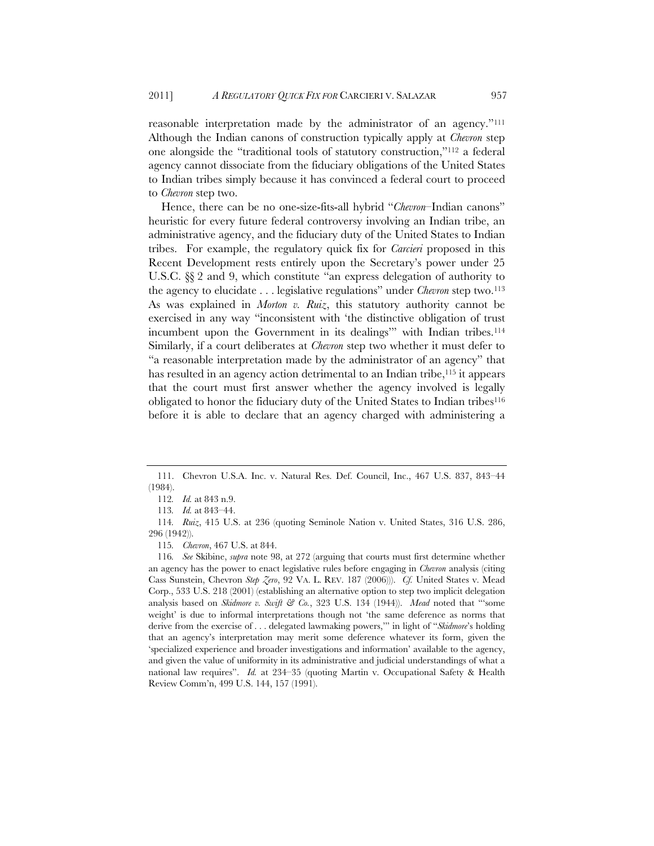reasonable interpretation made by the administrator of an agency."111 Although the Indian canons of construction typically apply at *Chevron* step one alongside the "traditional tools of statutory construction,"112 a federal agency cannot dissociate from the fiduciary obligations of the United States to Indian tribes simply because it has convinced a federal court to proceed to *Chevron* step two.

Hence, there can be no one-size-fits-all hybrid "*Chevron–*Indian canons" heuristic for every future federal controversy involving an Indian tribe, an administrative agency, and the fiduciary duty of the United States to Indian tribes. For example, the regulatory quick fix for *Carcieri* proposed in this Recent Development rests entirely upon the Secretary's power under 25 U.S.C. §§ 2 and 9, which constitute "an express delegation of authority to the agency to elucidate . . . legislative regulations" under *Chevron* step two.113 As was explained in *Morton v. Ruiz*, this statutory authority cannot be exercised in any way "inconsistent with 'the distinctive obligation of trust incumbent upon the Government in its dealings" with Indian tribes.<sup>114</sup> Similarly, if a court deliberates at *Chevron* step two whether it must defer to "a reasonable interpretation made by the administrator of an agency" that has resulted in an agency action detrimental to an Indian tribe,<sup>115</sup> it appears that the court must first answer whether the agency involved is legally obligated to honor the fiduciary duty of the United States to Indian tribes116 before it is able to declare that an agency charged with administering a

 <sup>111.</sup> Chevron U.S.A. Inc. v. Natural Res. Def. Council, Inc., 467 U.S. 837, 843–44 (1984).

<sup>112</sup>*. Id.* at 843 n.9.

<sup>113</sup>*. Id.* at 843–44.

<sup>114</sup>*. Ruiz*, 415 U.S. at 236 (quoting Seminole Nation v. United States, 316 U.S. 286, 296 (1942)).

<sup>115</sup>*. Chevron*, 467 U.S. at 844.

<sup>116</sup>*. See* Skibine, *supra* note 98, at 272 (arguing that courts must first determine whether an agency has the power to enact legislative rules before engaging in *Chevron* analysis (citing Cass Sunstein, Chevron *Step Zero*, 92 VA. L. REV. 187 (2006))). *Cf.* United States v. Mead Corp., 533 U.S. 218 (2001) (establishing an alternative option to step two implicit delegation analysis based on *Skidmore v. Swift & Co.*, 323 U.S. 134 (1944)). *Mead* noted that "'some weight' is due to informal interpretations though not 'the same deference as norms that derive from the exercise of . . . delegated lawmaking powers,'" in light of "*Skidmore*'s holding that an agency's interpretation may merit some deference whatever its form, given the 'specialized experience and broader investigations and information' available to the agency, and given the value of uniformity in its administrative and judicial understandings of what a national law requires". *Id.* at 234–35 (quoting Martin v. Occupational Safety & Health Review Comm'n, 499 U.S. 144, 157 (1991).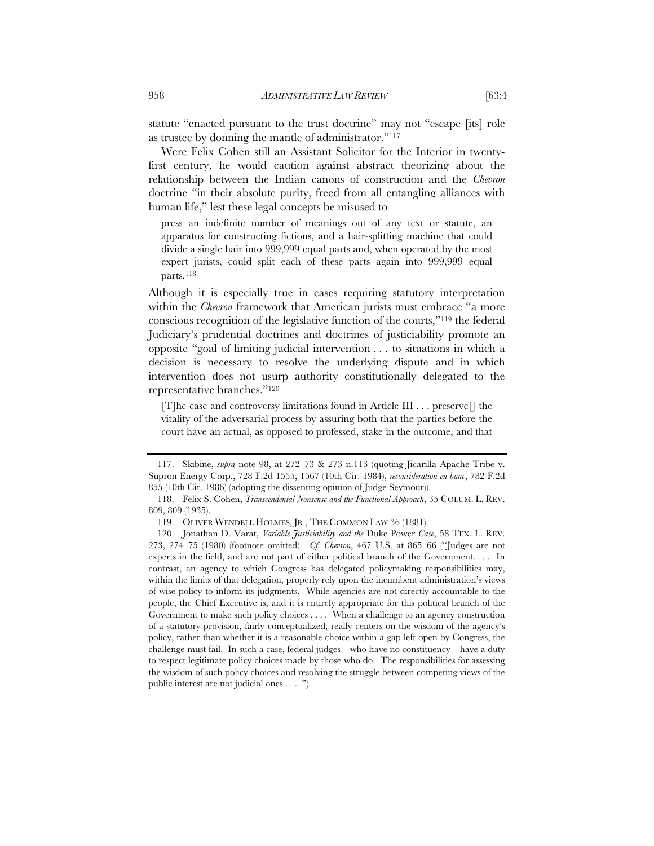statute "enacted pursuant to the trust doctrine" may not "escape [its] role as trustee by donning the mantle of administrator."117

Were Felix Cohen still an Assistant Solicitor for the Interior in twentyfirst century, he would caution against abstract theorizing about the relationship between the Indian canons of construction and the *Chevron*  doctrine "in their absolute purity, freed from all entangling alliances with human life," lest these legal concepts be misused to

press an indefinite number of meanings out of any text or statute, an apparatus for constructing fictions, and a hair-splitting machine that could divide a single hair into 999,999 equal parts and, when operated by the most expert jurists, could split each of these parts again into 999,999 equal parts.118

Although it is especially true in cases requiring statutory interpretation within the *Chevron* framework that American jurists must embrace "a more conscious recognition of the legislative function of the courts,"119 the federal Judiciary's prudential doctrines and doctrines of justiciability promote an opposite "goal of limiting judicial intervention . . . to situations in which a decision is necessary to resolve the underlying dispute and in which intervention does not usurp authority constitutionally delegated to the representative branches."120

[T]he case and controversy limitations found in Article III . . . preserve[] the vitality of the adversarial process by assuring both that the parties before the court have an actual, as opposed to professed, stake in the outcome, and that

 <sup>117.</sup> Skibine, *supra* note 98, at 272–73 & 273 n.113 (quoting Jicarilla Apache Tribe v. Supron Energy Corp., 728 F.2d 1555, 1567 (10th Cir. 1984), *reconsideration en banc*, 782 F.2d 855 (10th Cir. 1986) (adopting the dissenting opinion of Judge Seymour)).

 <sup>118.</sup> Felix S. Cohen, *Transcendental Nonsense and the Functional Approach*, 35 COLUM. L. REV. 809, 809 (1935).

 <sup>119.</sup> OLIVER WENDELL HOLMES, JR., THE COMMON LAW 36 (1881).

 <sup>120.</sup> Jonathan D. Varat, *Variable Justiciability and the* Duke Power *Case*, 58 TEX. L. REV. 273, 274–75 (1980) (footnote omitted). *Cf. Chevron*, 467 U.S. at 865–66 ("Judges are not experts in the field, and are not part of either political branch of the Government. . . . In contrast, an agency to which Congress has delegated policymaking responsibilities may, within the limits of that delegation, properly rely upon the incumbent administration's views of wise policy to inform its judgments. While agencies are not directly accountable to the people, the Chief Executive is, and it is entirely appropriate for this political branch of the Government to make such policy choices . . . . When a challenge to an agency construction of a statutory provision, fairly conceptualized, really centers on the wisdom of the agency's policy, rather than whether it is a reasonable choice within a gap left open by Congress, the challenge must fail. In such a case, federal judges—who have no constituency—have a duty to respect legitimate policy choices made by those who do. The responsibilities for assessing the wisdom of such policy choices and resolving the struggle between competing views of the public interest are not judicial ones . . . .").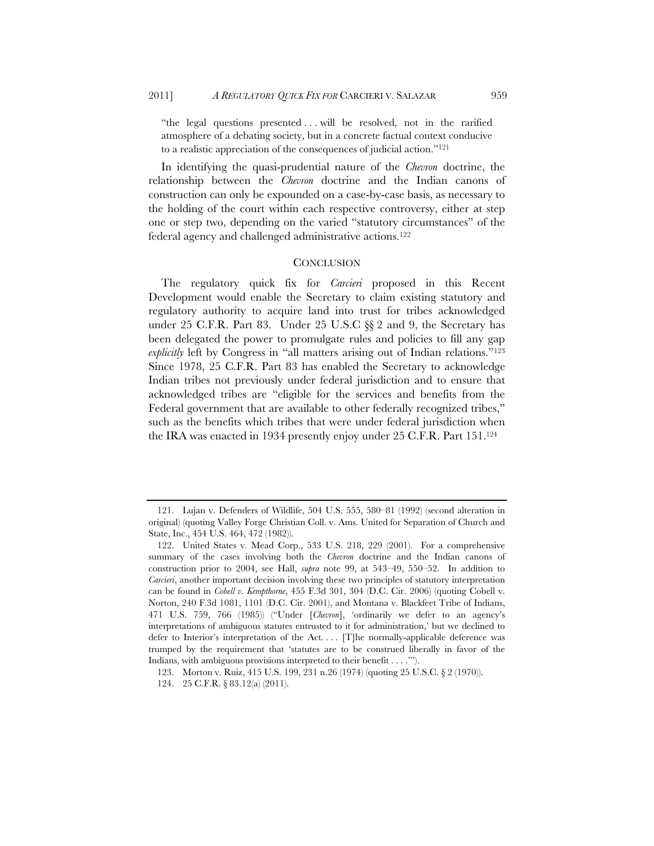"the legal questions presented . . . will be resolved, not in the rarified atmosphere of a debating society, but in a concrete factual context conducive to a realistic appreciation of the consequences of judicial action."121

In identifying the quasi-prudential nature of the *Chevron* doctrine, the relationship between the *Chevron* doctrine and the Indian canons of construction can only be expounded on a case-by-case basis, as necessary to the holding of the court within each respective controversy, either at step one or step two, depending on the varied "statutory circumstances" of the federal agency and challenged administrative actions.122

### **CONCLUSION**

The regulatory quick fix for *Carcieri* proposed in this Recent Development would enable the Secretary to claim existing statutory and regulatory authority to acquire land into trust for tribes acknowledged under 25 C.F.R. Part 83. Under 25 U.S.C §§ 2 and 9, the Secretary has been delegated the power to promulgate rules and policies to fill any gap *explicitly* left by Congress in "all matters arising out of Indian relations."123 Since 1978, 25 C.F.R. Part 83 has enabled the Secretary to acknowledge Indian tribes not previously under federal jurisdiction and to ensure that acknowledged tribes are "eligible for the services and benefits from the Federal government that are available to other federally recognized tribes," such as the benefits which tribes that were under federal jurisdiction when the IRA was enacted in 1934 presently enjoy under 25 C.F.R. Part 151.124

 <sup>121.</sup> Lujan v. Defenders of Wildlife, 504 U.S. 555, 580–81 (1992) (second alteration in original) (quoting Valley Forge Christian Coll. v. Ams. United for Separation of Church and State, Inc., 454 U.S. 464, 472 (1982)).

 <sup>122.</sup> United States v. Mead Corp., 533 U.S. 218, 229 (2001). For a comprehensive summary of the cases involving both the *Chevron* doctrine and the Indian canons of construction prior to 2004, see Hall, *supra* note 99, at 543–49, 550–52. In addition to *Carcieri*, another important decision involving these two principles of statutory interpretation can be found in *Cobell v. Kempthorne*, 455 F.3d 301, 304 (D.C. Cir. 2006) (quoting Cobell v. Norton, 240 F.3d 1081, 1101 (D.C. Cir. 2001), and Montana v. Blackfeet Tribe of Indians, 471 U.S. 759, 766 (1985)) ("Under [*Chevron*], 'ordinarily we defer to an agency's interpretations of ambiguous statutes entrusted to it for administration,' but we declined to defer to Interior's interpretation of the Act. . . . [T]he normally-applicable deference was trumped by the requirement that 'statutes are to be construed liberally in favor of the Indians, with ambiguous provisions interpreted to their benefit . . . .'").

<sup>123.</sup> Morton v. Ruiz, 415 U.S. 199, 231 n.26 (1974) (quoting 25 U.S.C. § 2 (1970)).

<sup>124. 25</sup> C.F.R. § 83.12(a) (2011).